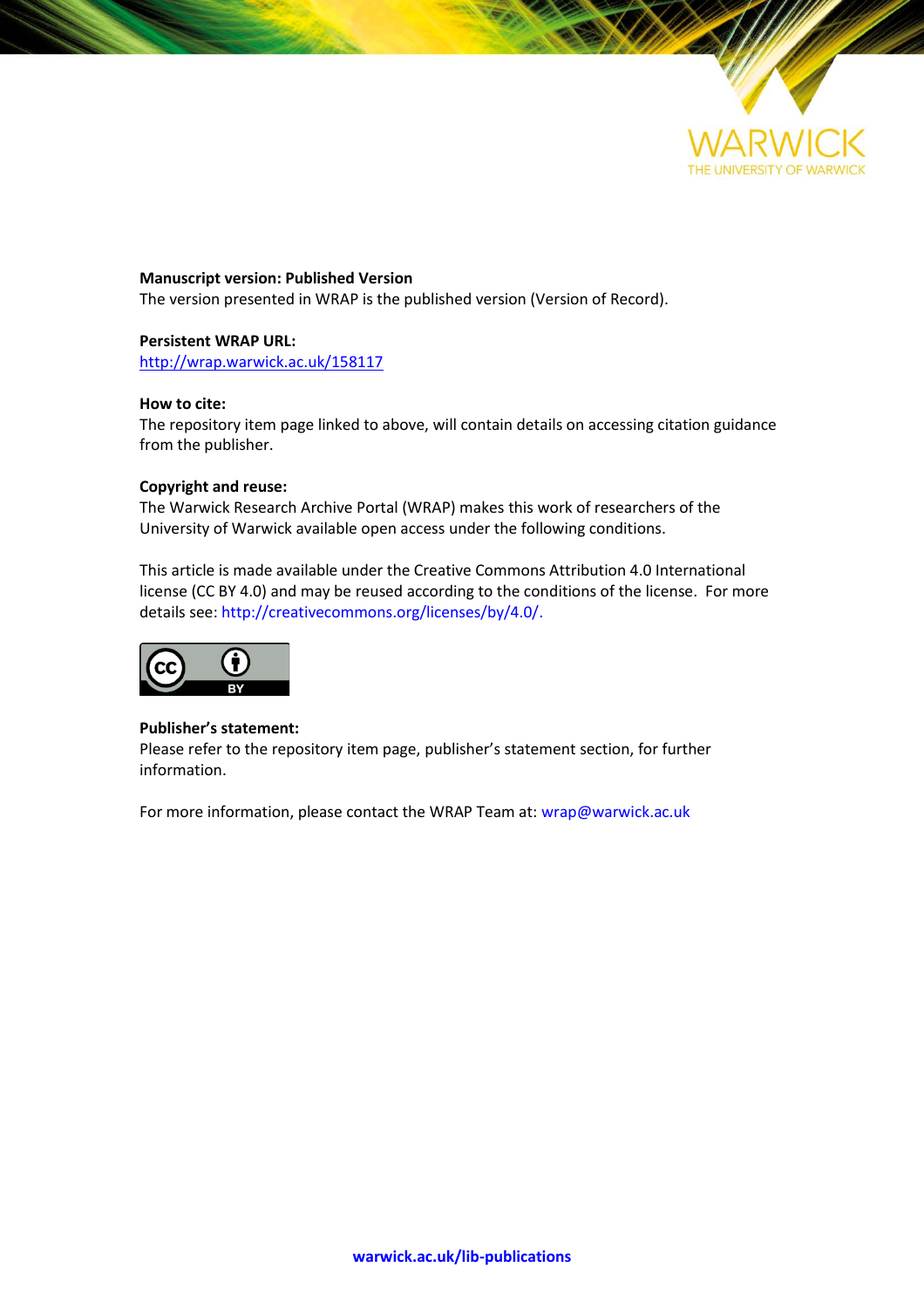

**Manuscript version: Published Version** The version presented in WRAP is the published version (Version of Record).

#### **Persistent WRAP URL:**

<http://wrap.warwick.ac.uk/158117>

#### **How to cite:**

The repository item page linked to above, will contain details on accessing citation guidance from the publisher.

#### **Copyright and reuse:**

The Warwick Research Archive Portal (WRAP) makes this work of researchers of the University of Warwick available open access under the following conditions.

This article is made available under the Creative Commons Attribution 4.0 International license (CC BY 4.0) and may be reused according to the conditions of the license. For more details see[: http://creativecommons.org/licenses/by/4.0/.](http://creativecommons.org/licenses/by/4.0/)



#### **Publisher's statement:**

Please refer to the repository item page, publisher's statement section, for further information.

For more information, please contact the WRAP Team at[: wrap@warwick.ac.uk](mailto:wrap@warwick.ac.uk)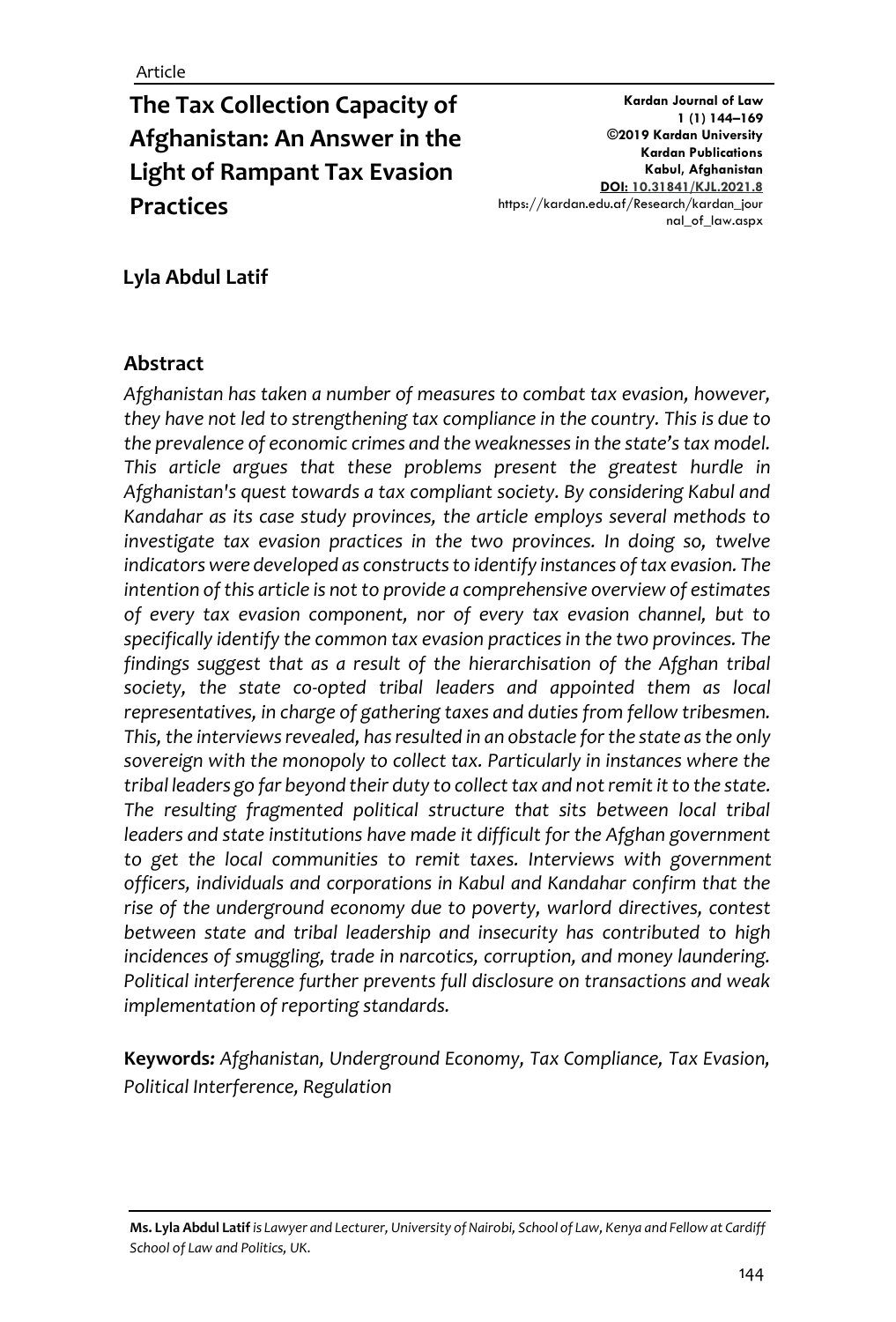# **The Tax Collection Capacity of Afghanistan: An Answer in the Light of Rampant Tax Evasion Practices**

**Kardan Journal of Law 1 (1) 144–169 ©2019 Kardan University Kardan Publications Kabul, Afghanistan DOI: 10.31841/KJL.2021.8** https://kardan.edu.af/Research/kardan\_jour nal\_of\_law.aspx

### **Lyla Abdul Latif**

#### **Abstract**

*Afghanistan has taken a number of measures to combat tax evasion, however, they have not led to strengthening tax compliance in the country. This is due to the prevalence of economic crimes and the weaknesses in the state's tax model. This article argues that these problems present the greatest hurdle in Afghanistan's quest towards a tax compliant society. By considering Kabul and Kandahar as its case study provinces, the article employs several methods to investigate tax evasion practices in the two provinces. In doing so, twelve indicators were developed as constructs to identify instances of tax evasion. The intention of this article is not to provide a comprehensive overview of estimates of every tax evasion component, nor of every tax evasion channel, but to specifically identify the common tax evasion practices in the two provinces. The findings suggest that as a result of the hierarchisation of the Afghan tribal society, the state co-opted tribal leaders and appointed them as local representatives, in charge of gathering taxes and duties from fellow tribesmen. This, the interviews revealed, has resulted in an obstacle for the state as the only sovereign with the monopoly to collect tax. Particularly in instances where the tribal leaders go far beyond their duty to collect tax and not remit it to the state. The resulting fragmented political structure that sits between local tribal leaders and state institutions have made it difficult for the Afghan government to get the local communities to remit taxes. Interviews with government officers, individuals and corporations in Kabul and Kandahar confirm that the rise of the underground economy due to poverty, warlord directives, contest between state and tribal leadership and insecurity has contributed to high incidences of smuggling, trade in narcotics, corruption, and money laundering. Political interference further prevents full disclosure on transactions and weak implementation of reporting standards.* 

**Keywords***: Afghanistan, Underground Economy, Tax Compliance, Tax Evasion, Political Interference, Regulation* 

**Ms. Lyla Abdul Latif***is Lawyer and Lecturer, University of Nairobi, School of Law, Kenya and Fellow at Cardiff School of Law and Politics, UK.*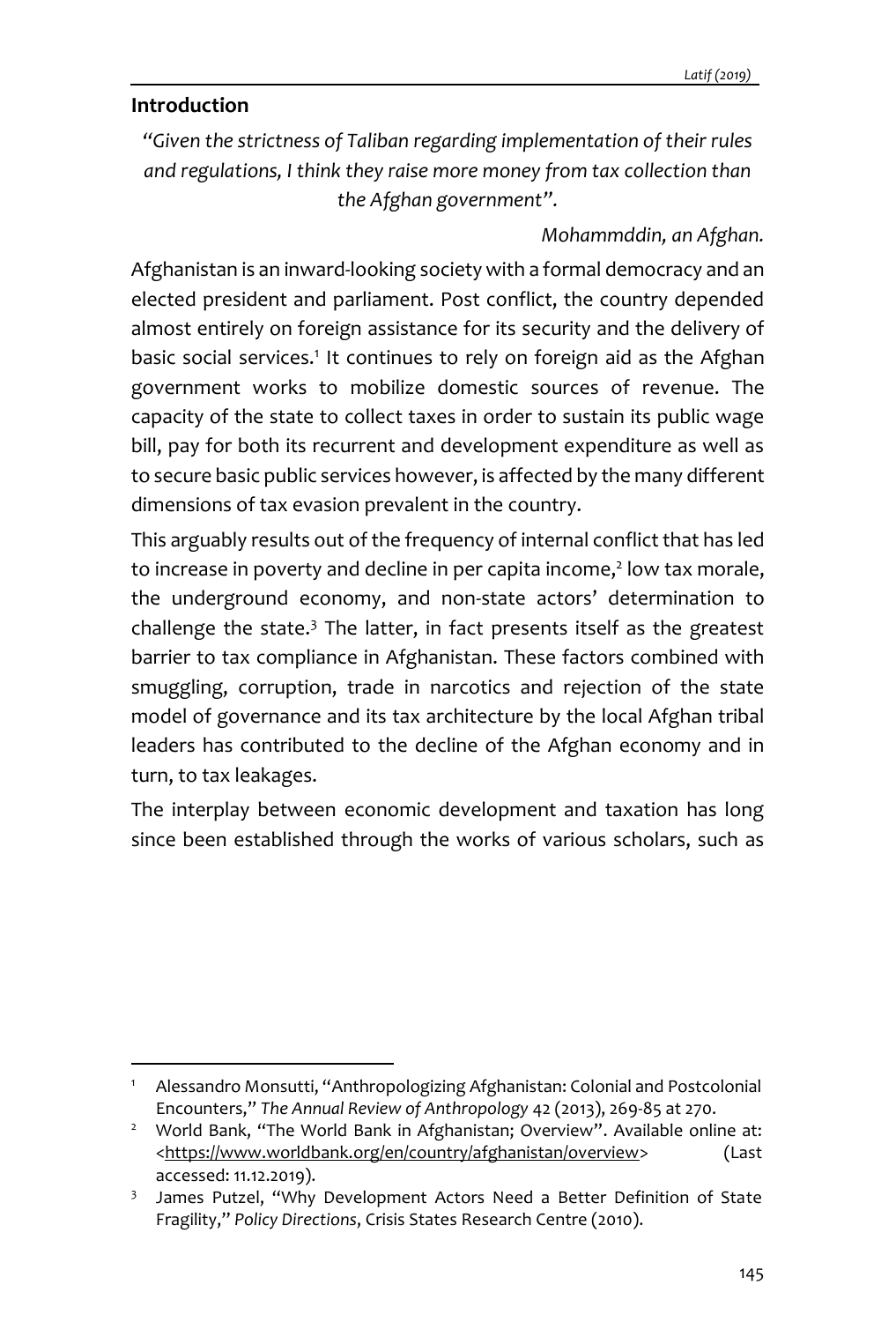### **Introduction**

*"Given the strictness of Taliban regarding implementation of their rules and regulations, I think they raise more money from tax collection than the Afghan government".*

### *Mohammddin, an Afghan.*

Afghanistan is an inward-looking society with a formal democracy and an elected president and parliament. Post conflict, the country depended almost entirely on foreign assistance for its security and the delivery of basic social services.<sup>1</sup> It continues to rely on foreign aid as the Afghan government works to mobilize domestic sources of revenue. The capacity of the state to collect taxes in order to sustain its public wage bill, pay for both its recurrent and development expenditure as well as to secure basic public services however, is affected by the many different dimensions of tax evasion prevalent in the country.

This arguably results out of the frequency of internal conflict that has led to increase in poverty and decline in per capita income, 2 low tax morale, the underground economy, and non-state actors' determination to challenge the state. $3$  The latter, in fact presents itself as the greatest barrier to tax compliance in Afghanistan. These factors combined with smuggling, corruption, trade in narcotics and rejection of the state model of governance and its tax architecture by the local Afghan tribal leaders has contributed to the decline of the Afghan economy and in turn, to tax leakages.

The interplay between economic development and taxation has long since been established through the works of various scholars, such as

<sup>1</sup> Alessandro Monsutti, "Anthropologizing Afghanistan: Colonial and Postcolonial Encounters," *The Annual Review of Anthropology* 42 (2013), 269-85 at 270.

<sup>&</sup>lt;sup>2</sup> World Bank, "The World Bank in Afghanistan; Overview". Available online at: [<https://www.worldbank.org/en/country/afghanistan/overview>](https://www.worldbank.org/en/country/afghanistan/overview) (Last accessed: 11.12.2019).

<sup>3</sup> James Putzel, "Why Development Actors Need a Better Definition of State Fragility," *Policy Directions*, Crisis States Research Centre (2010).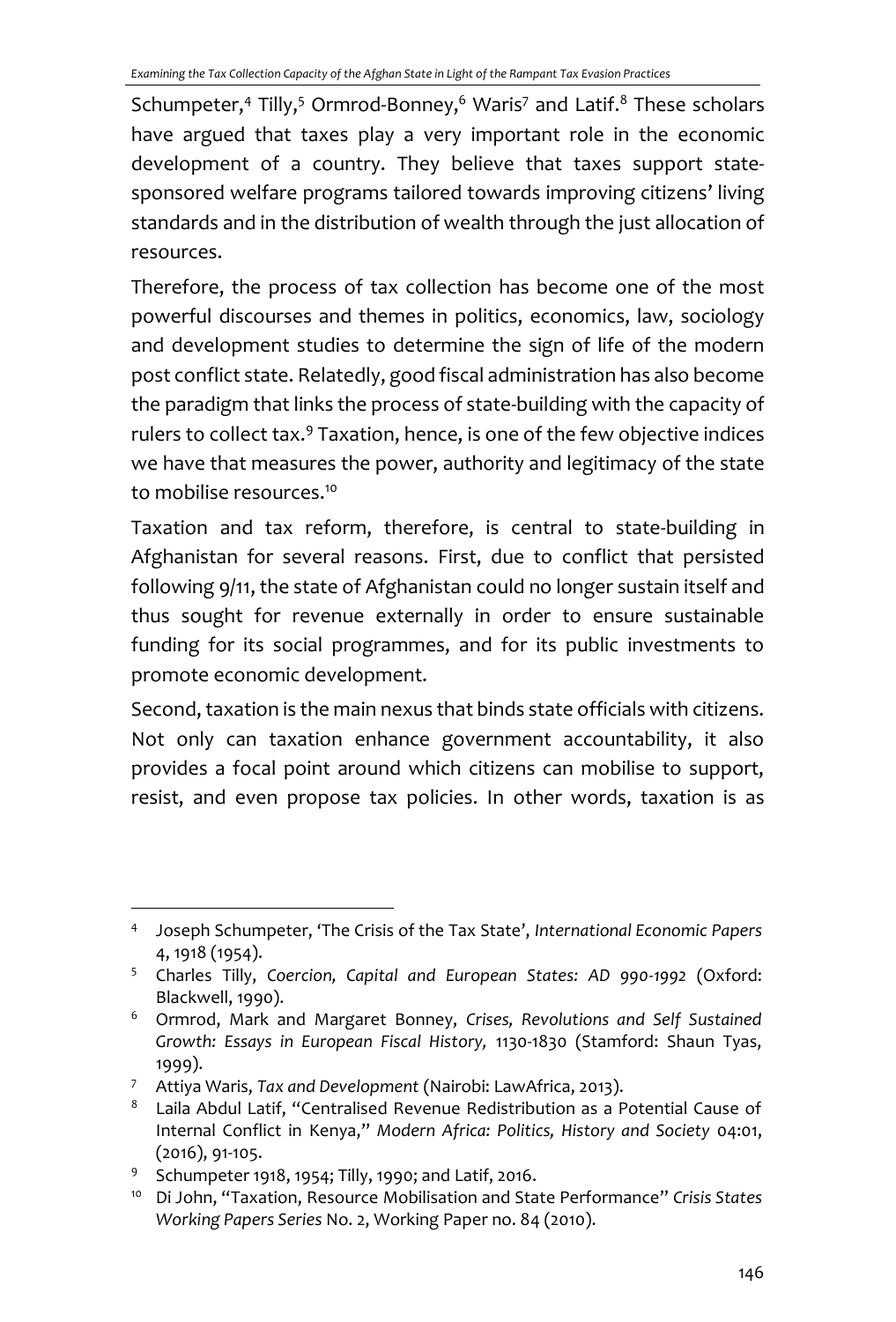Schumpeter,<sup>4</sup> Tilly,<sup>5</sup> Ormrod-Bonney,<sup>6</sup> Waris<sup>7</sup> and Latif.<sup>8</sup> These scholars have argued that taxes play a very important role in the economic development of a country. They believe that taxes support statesponsored welfare programs tailored towards improving citizens' living standards and in the distribution of wealth through the just allocation of resources.

Therefore, the process of tax collection has become one of the most powerful discourses and themes in politics, economics, law, sociology and development studies to determine the sign of life of the modern post conflict state. Relatedly, good fiscal administration has also become the paradigm that links the process of state-building with the capacity of rulers to collect tax.<sup>9</sup> Taxation, hence, is one of the few objective indices we have that measures the power, authority and legitimacy of the state to mobilise resources. 10

Taxation and tax reform, therefore, is central to state-building in Afghanistan for several reasons. First, due to conflict that persisted following 9/11, the state of Afghanistan could no longer sustain itself and thus sought for revenue externally in order to ensure sustainable funding for its social programmes, and for its public investments to promote economic development.

Second, taxation is the main nexus that binds state officials with citizens. Not only can taxation enhance government accountability, it also provides a focal point around which citizens can mobilise to support, resist, and even propose tax policies. In other words, taxation is as

<sup>4</sup> Joseph Schumpeter, 'The Crisis of the Tax State', *International Economic Papers*  4, 1918 (1954).

<sup>5</sup> Charles Tilly, *Coercion, Capital and European States: AD 990-1992* (Oxford: Blackwell, 1990).

<sup>6</sup> Ormrod, Mark and Margaret Bonney, *Crises, Revolutions and Self Sustained Growth: Essays in European Fiscal History,* 1130-1830 (Stamford: Shaun Tyas, 1999).

<sup>7</sup> Attiya Waris, *Tax and Development* (Nairobi: LawAfrica, 2013).

<sup>8</sup> Laila Abdul Latif, "Centralised Revenue Redistribution as a Potential Cause of Internal Conflict in Kenya," *Modern Africa: Politics, History and Society* 04:01, (2016), 91-105.

<sup>9</sup> Schumpeter 1918, 1954; Tilly, 1990; and Latif, 2016.

<sup>10</sup> Di John, "Taxation, Resource Mobilisation and State Performance" *Crisis States Working Papers Series* No. 2, Working Paper no. 84 (2010).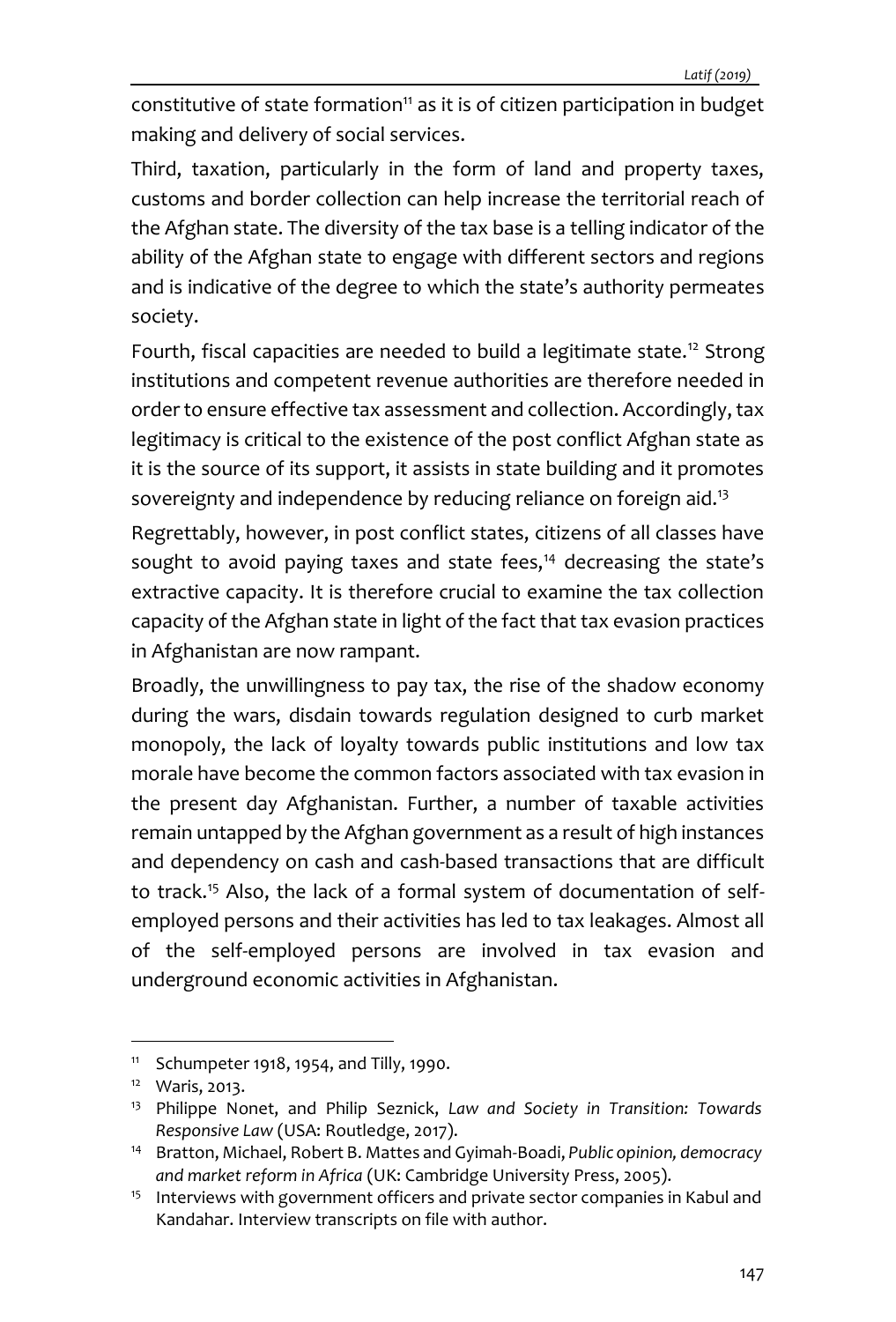constitutive of state formation<sup>11</sup> as it is of citizen participation in budget making and delivery of social services.

Third, taxation, particularly in the form of land and property taxes, customs and border collection can help increase the territorial reach of the Afghan state. The diversity of the tax base is a telling indicator of the ability of the Afghan state to engage with different sectors and regions and is indicative of the degree to which the state's authority permeates society.

Fourth, fiscal capacities are needed to build a legitimate state.<sup>12</sup> Strong institutions and competent revenue authorities are therefore needed in order to ensure effective tax assessment and collection. Accordingly, tax legitimacy is critical to the existence of the post conflict Afghan state as it is the source of its support, it assists in state building and it promotes sovereignty and independence by reducing reliance on foreign aid.<sup>13</sup>

Regrettably, however, in post conflict states, citizens of all classes have sought to avoid paying taxes and state fees, $14$  decreasing the state's extractive capacity. It is therefore crucial to examine the tax collection capacity of the Afghan state in light of the fact that tax evasion practices in Afghanistan are now rampant.

Broadly, the unwillingness to pay tax, the rise of the shadow economy during the wars, disdain towards regulation designed to curb market monopoly, the lack of loyalty towards public institutions and low tax morale have become the common factors associated with tax evasion in the present day Afghanistan. Further, a number of taxable activities remain untapped by the Afghan government as a result of high instances and dependency on cash and cash-based transactions that are difficult to track.<sup>15</sup> Also, the lack of a formal system of documentation of selfemployed persons and their activities has led to tax leakages. Almost all of the self-employed persons are involved in tax evasion and underground economic activities in Afghanistan.

 $11$  Schumpeter 1918, 1954, and Tilly, 1990.

<sup>12</sup> Waris, 2013.

<sup>13</sup> Philippe Nonet, and Philip Seznick, *Law and Society in Transition: Towards Responsive Law* (USA: Routledge, 2017).

<sup>14</sup> Bratton, Michael, Robert B. Mattes and Gyimah-Boadi, *Public opinion, democracy and market reform in Africa* (UK: Cambridge University Press, 2005).

<sup>&</sup>lt;sup>15</sup> Interviews with government officers and private sector companies in Kabul and Kandahar. Interview transcripts on file with author.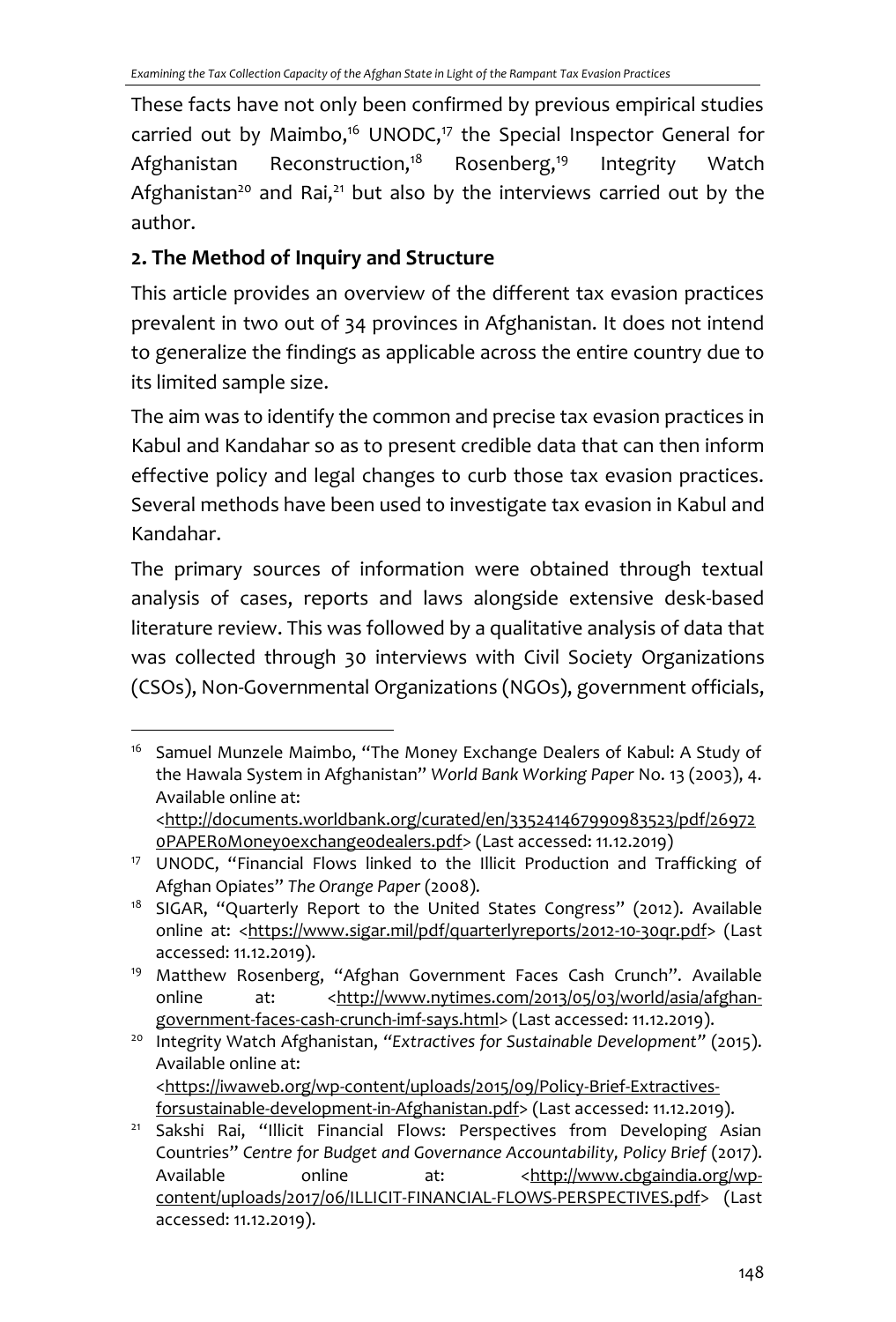These facts have not only been confirmed by previous empirical studies carried out by Maimbo,<sup>16</sup> UNODC,<sup>17</sup> the Special Inspector General for Afghanistan Reconstruction,<sup>18</sup> Rosenberg,<sup>19</sup> Integrity Watch Afghanistan<sup>20</sup> and Rai,<sup>21</sup> but also by the interviews carried out by the author.

## **2. The Method of Inquiry and Structure**

This article provides an overview of the different tax evasion practices prevalent in two out of 34 provinces in Afghanistan. It does not intend to generalize the findings as applicable across the entire country due to its limited sample size.

The aim was to identify the common and precise tax evasion practices in Kabul and Kandahar so as to present credible data that can then inform effective policy and legal changes to curb those tax evasion practices. Several methods have been used to investigate tax evasion in Kabul and Kandahar.

The primary sources of information were obtained through textual analysis of cases, reports and laws alongside extensive desk-based literature review. This was followed by a qualitative analysis of data that was collected through 30 interviews with Civil Society Organizations (CSOs), Non-Governmental Organizations (NGOs), government officials,

<sup>20</sup> Integrity Watch Afghanistan, *"Extractives for Sustainable Development"* (2015). Available online at: [<https://iwaweb.org/wp-content/uploads/2015/09/Policy-Brief-Extractives-](https://iwaweb.org/wp-content/uploads/2015/09/Policy-Brief-Extractives-forsustainable-development-in-Afghanistan.pdf)

<sup>&</sup>lt;sup>16</sup> Samuel Munzele Maimbo, "The Money Exchange Dealers of Kabul: A Study of the Hawala System in Afghanistan" *World Bank Working Paper* No. 13 (2003), 4. Available online at: [<http://documents.worldbank.org/curated/en/335241467990983523/pdf/26972](http://documents.worldbank.org/curated/en/335241467990983523/pdf/269720PAPER0Money0exchange0dealers.pdf)

[<sup>0</sup>PAPER0Money0exchange0dealers.pdf>](http://documents.worldbank.org/curated/en/335241467990983523/pdf/269720PAPER0Money0exchange0dealers.pdf) (Last accessed: 11.12.2019)

<sup>&</sup>lt;sup>17</sup> UNODC, "Financial Flows linked to the Illicit Production and Trafficking of Afghan Opiates" *The Orange Paper* (2008).

<sup>&</sup>lt;sup>18</sup> SIGAR, "Quarterly Report to the United States Congress" (2012). Available online at: [<https://www.sigar.mil/pdf/quarterlyreports/2012-10-30qr.pdf>](https://www.sigar.mil/pdf/quarterlyreports/2012-10-30qr.pdf) (Last accessed: 11.12.2019).

<sup>&</sup>lt;sup>19</sup> Matthew Rosenberg, "Afghan Government Faces Cash Crunch". Available online at: [<http://www.nytimes.com/2013/05/03/world/asia/afghan](http://www.nytimes.com/2013/05/03/world/asia/afghan-government-faces-cash-crunch-imf-says.html)[government-faces-cash-crunch-imf-says.html>](http://www.nytimes.com/2013/05/03/world/asia/afghan-government-faces-cash-crunch-imf-says.html) (Last accessed: 11.12.2019).

[forsustainable-development-in-Afghanistan.pdf>](https://iwaweb.org/wp-content/uploads/2015/09/Policy-Brief-Extractives-forsustainable-development-in-Afghanistan.pdf) (Last accessed: 11.12.2019).

<sup>&</sup>lt;sup>21</sup> Sakshi Rai, "Illicit Financial Flows: Perspectives from Developing Asian Countries" *Centre for Budget and Governance Accountability, Policy Brief* (2017). Available online at: [<http://www.cbgaindia.org/wp](http://www.cbgaindia.org/wp-content/uploads/2017/06/ILLICIT-FINANCIAL-FLOWS-PERSPECTIVES.pdf)[content/uploads/2017/06/ILLICIT-FINANCIAL-FLOWS-PERSPECTIVES.pdf>](http://www.cbgaindia.org/wp-content/uploads/2017/06/ILLICIT-FINANCIAL-FLOWS-PERSPECTIVES.pdf) (Last accessed: 11.12.2019).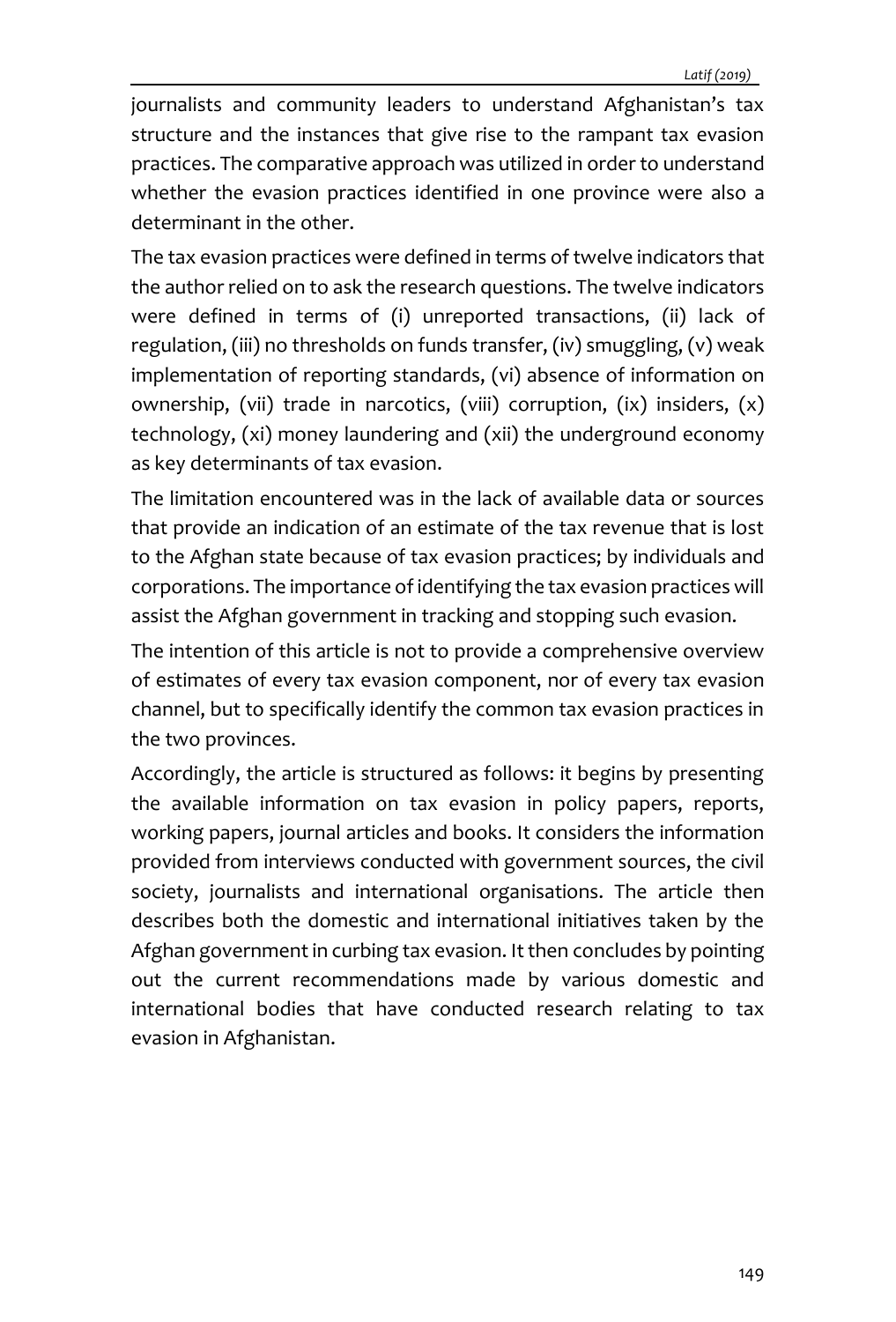journalists and community leaders to understand Afghanistan's tax structure and the instances that give rise to the rampant tax evasion practices. The comparative approach was utilized in order to understand whether the evasion practices identified in one province were also a determinant in the other.

The tax evasion practices were defined in terms of twelve indicators that the author relied on to ask the research questions. The twelve indicators were defined in terms of (i) unreported transactions, (ii) lack of regulation, (iii) no thresholds on funds transfer, (iv) smuggling, (v) weak implementation of reporting standards, (vi) absence of information on ownership, (vii) trade in narcotics, (viii) corruption, (ix) insiders, (x) technology, (xi) money laundering and (xii) the underground economy as key determinants of tax evasion.

The limitation encountered was in the lack of available data or sources that provide an indication of an estimate of the tax revenue that is lost to the Afghan state because of tax evasion practices; by individuals and corporations. The importance of identifying the tax evasion practices will assist the Afghan government in tracking and stopping such evasion.

The intention of this article is not to provide a comprehensive overview of estimates of every tax evasion component, nor of every tax evasion channel, but to specifically identify the common tax evasion practices in the two provinces.

Accordingly, the article is structured as follows: it begins by presenting the available information on tax evasion in policy papers, reports, working papers, journal articles and books. It considers the information provided from interviews conducted with government sources, the civil society, journalists and international organisations. The article then describes both the domestic and international initiatives taken by the Afghan government in curbing tax evasion. It then concludes by pointing out the current recommendations made by various domestic and international bodies that have conducted research relating to tax evasion in Afghanistan.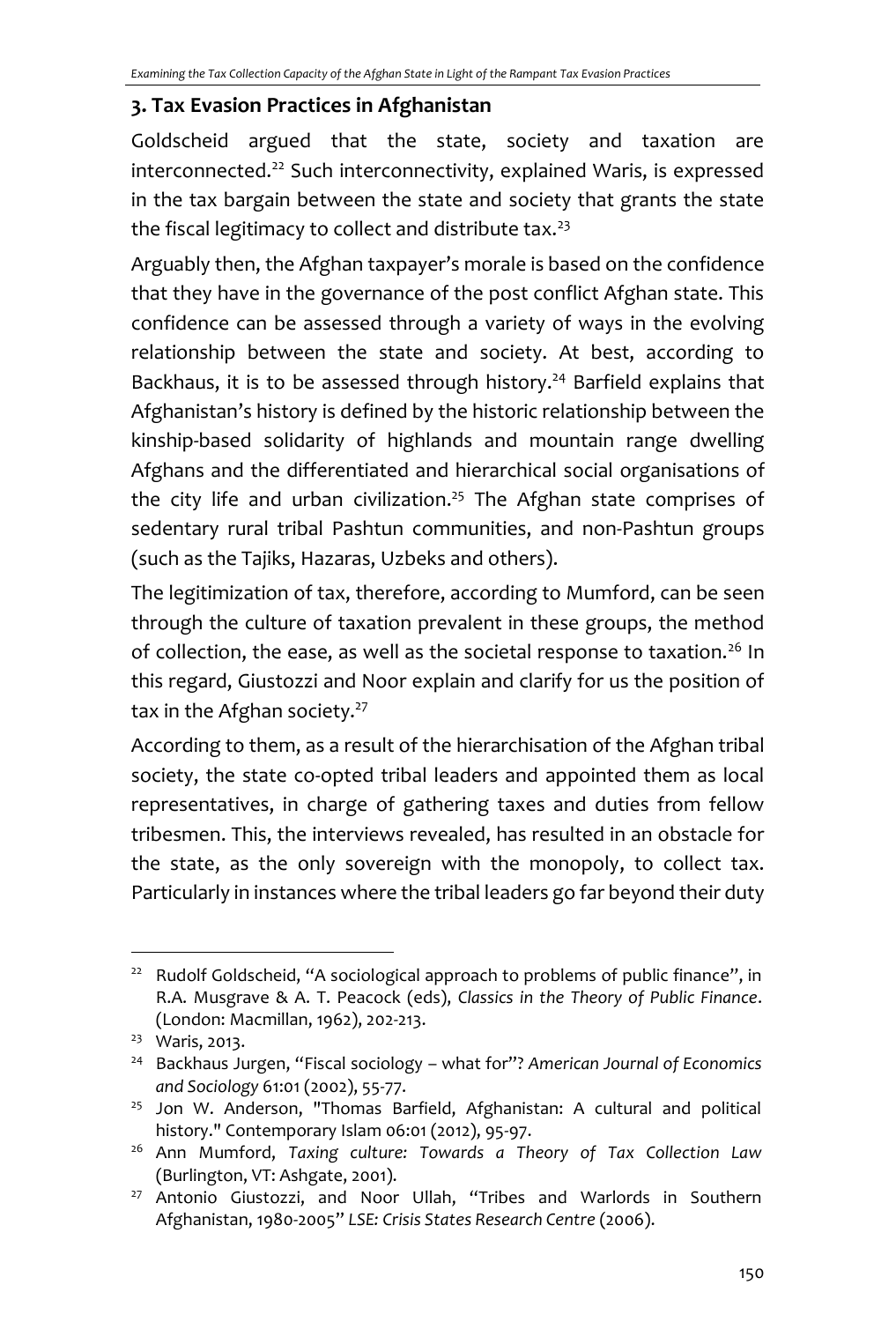### **3. Tax Evasion Practices in Afghanistan**

Goldscheid argued that the state, society and taxation are interconnected.<sup>22</sup> Such interconnectivity, explained Waris, is expressed in the tax bargain between the state and society that grants the state the fiscal legitimacy to collect and distribute tax.<sup>23</sup>

Arguably then, the Afghan taxpayer's morale is based on the confidence that they have in the governance of the post conflict Afghan state. This confidence can be assessed through a variety of ways in the evolving relationship between the state and society. At best, according to Backhaus, it is to be assessed through history.<sup>24</sup> Barfield explains that Afghanistan's history is defined by the historic relationship between the kinship-based solidarity of highlands and mountain range dwelling Afghans and the differentiated and hierarchical social organisations of the city life and urban civilization. <sup>25</sup> The Afghan state comprises of sedentary rural tribal Pashtun communities, and non-Pashtun groups (such as the Tajiks, Hazaras, Uzbeks and others).

The legitimization of tax, therefore, according to Mumford, can be seen through the culture of taxation prevalent in these groups, the method of collection, the ease, as well as the societal response to taxation.<sup>26</sup> In this regard, Giustozzi and Noor explain and clarify for us the position of tax in the Afghan society.<sup>27</sup>

According to them, as a result of the hierarchisation of the Afghan tribal society, the state co-opted tribal leaders and appointed them as local representatives, in charge of gathering taxes and duties from fellow tribesmen. This, the interviews revealed, has resulted in an obstacle for the state, as the only sovereign with the monopoly, to collect tax. Particularly in instances where the tribal leaders go far beyond their duty

<sup>&</sup>lt;sup>22</sup> Rudolf Goldscheid, "A sociological approach to problems of public finance", in R.A. Musgrave & A. T. Peacock (eds), *Classics in the Theory of Public Finance*. (London: Macmillan, 1962), 202-213.

<sup>&</sup>lt;sup>23</sup> Waris, 2013.

<sup>24</sup> Backhaus Jurgen, "Fiscal sociology – what for"? *American Journal of Economics and Sociology* 61:01 (2002), 55-77.

<sup>&</sup>lt;sup>25</sup> Jon W. Anderson, "Thomas Barfield, Afghanistan: A cultural and political history." Contemporary Islam 06:01 (2012), 95-97.

<sup>26</sup> Ann Mumford, *Taxing culture: Towards a Theory of Tax Collection Law* (Burlington, VT: Ashgate, 2001).

<sup>&</sup>lt;sup>27</sup> Antonio Giustozzi, and Noor Ullah, "Tribes and Warlords in Southern Afghanistan, 1980-2005" *LSE: Crisis States Research Centre* (2006).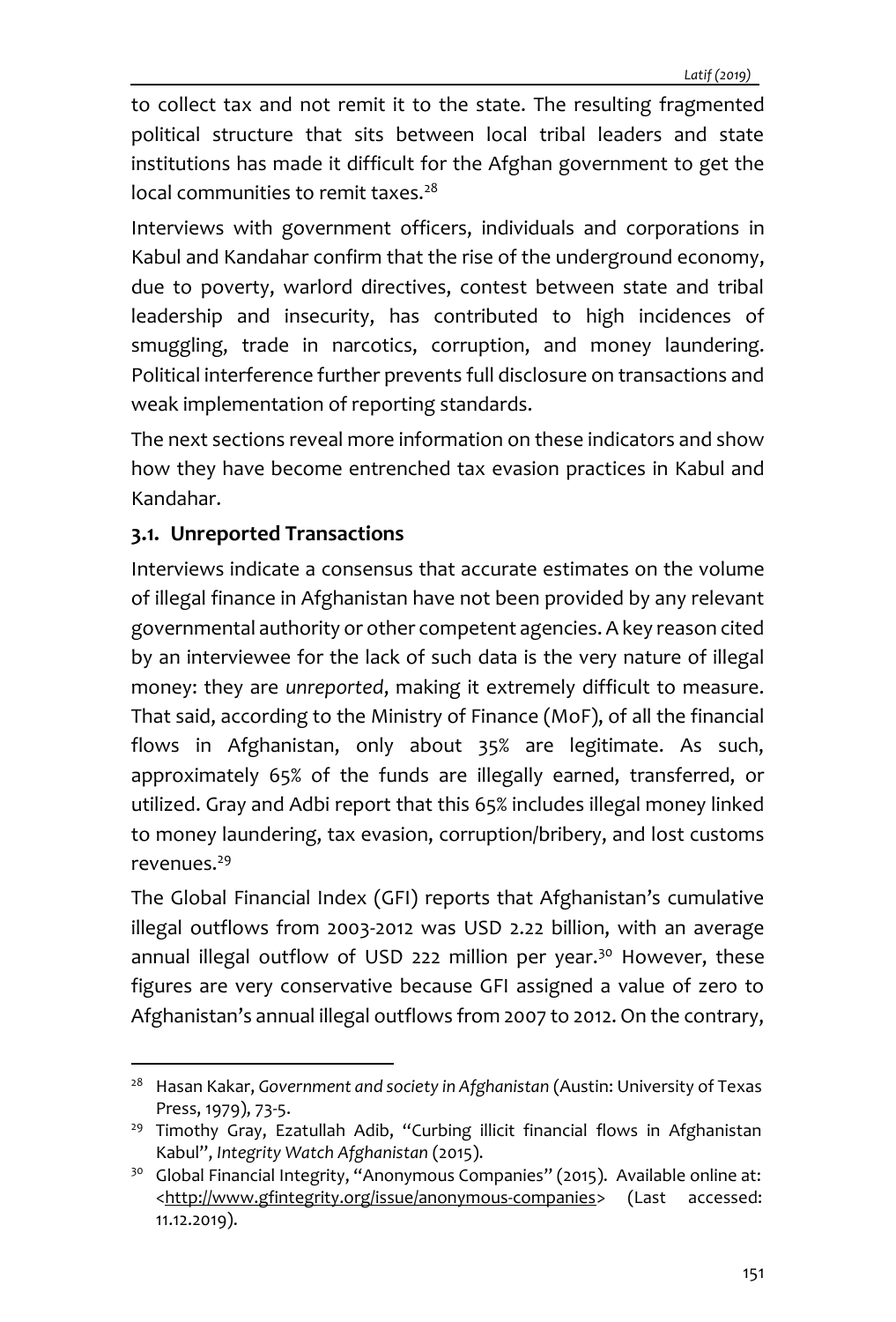to collect tax and not remit it to the state. The resulting fragmented political structure that sits between local tribal leaders and state institutions has made it difficult for the Afghan government to get the local communities to remit taxes.<sup>28</sup>

Interviews with government officers, individuals and corporations in Kabul and Kandahar confirm that the rise of the underground economy, due to poverty, warlord directives, contest between state and tribal leadership and insecurity, has contributed to high incidences of smuggling, trade in narcotics, corruption, and money laundering. Political interference further prevents full disclosure on transactions and weak implementation of reporting standards.

The next sections reveal more information on these indicators and show how they have become entrenched tax evasion practices in Kabul and Kandahar.

### **3.1. Unreported Transactions**

Interviews indicate a consensus that accurate estimates on the volume of illegal finance in Afghanistan have not been provided by any relevant governmental authority or other competent agencies. A key reason cited by an interviewee for the lack of such data is the very nature of illegal money: they are *unreported*, making it extremely difficult to measure. That said, according to the Ministry of Finance (MoF), of all the financial flows in Afghanistan, only about 35% are legitimate. As such, approximately 65% of the funds are illegally earned, transferred, or utilized. Gray and Adbi report that this 65% includes illegal money linked to money laundering, tax evasion, corruption/bribery, and lost customs revenues.<sup>29</sup>

The Global Financial Index (GFI) reports that Afghanistan's cumulative illegal outflows from 2003‐2012 was USD 2.22 billion, with an average annual illegal outflow of USD 222 million per year.<sup>30</sup> However, these figures are very conservative because GFI assigned a value of zero to Afghanistan's annual illegal outflows from 2007 to 2012. On the contrary,

<sup>28</sup> Hasan Kakar, *Government and society in Afghanistan* (Austin: University of Texas Press, 1979), 73-5.

<sup>&</sup>lt;sup>29</sup> Timothy Gray, Ezatullah Adib, "Curbing illicit financial flows in Afghanistan Kabul", *Integrity Watch Afghanistan* (2015).

<sup>&</sup>lt;sup>30</sup> Global Financial Integrity, "Anonymous Companies" (2015). Available online at: <http://www.gfintegrity.org/issue/anonymous-companies> (Last accessed: 11.12.2019).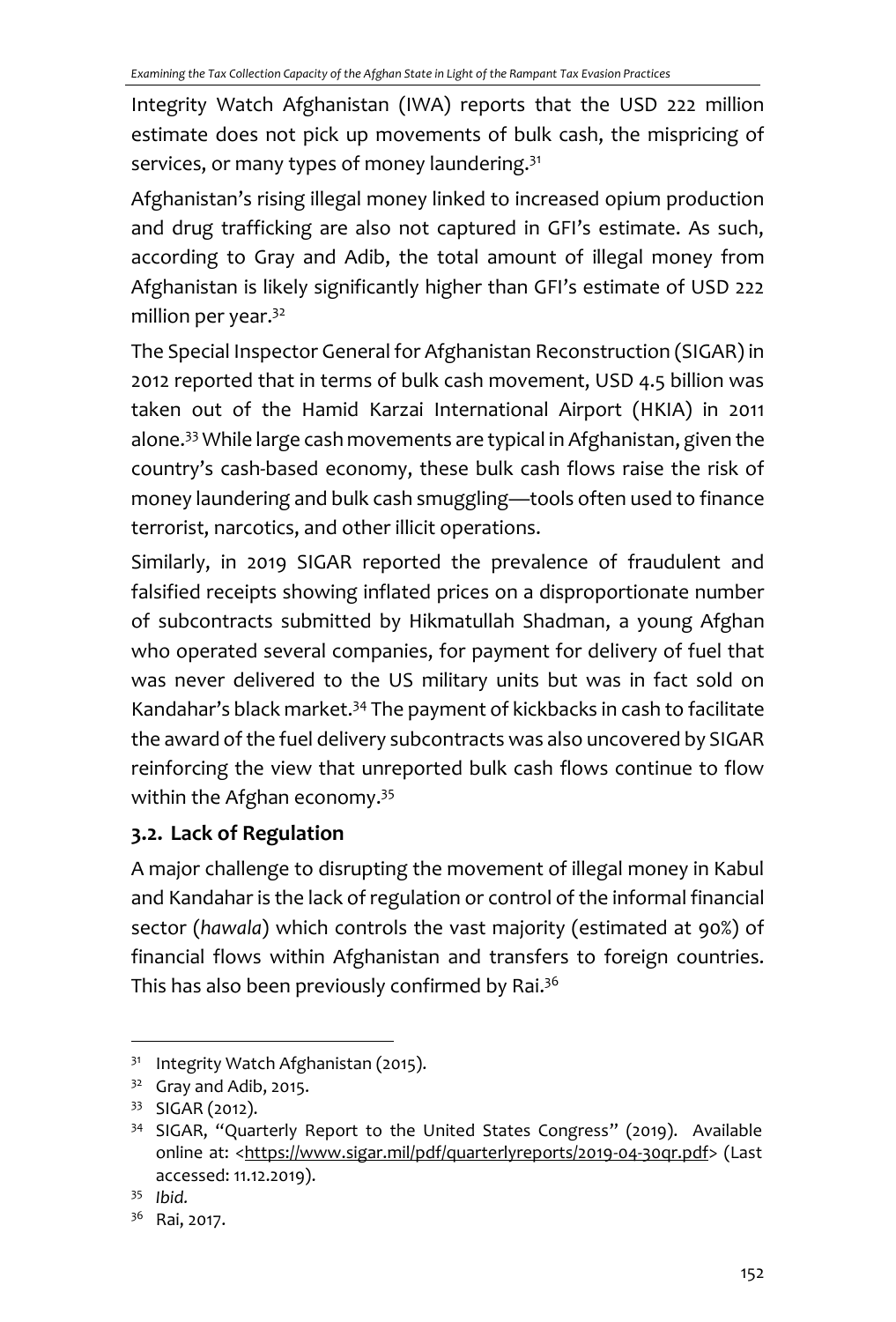Integrity Watch Afghanistan (IWA) reports that the USD 222 million estimate does not pick up movements of bulk cash, the mispricing of services, or many types of money laundering.<sup>31</sup>

Afghanistan's rising illegal money linked to increased opium production and drug trafficking are also not captured in GFI's estimate. As such, according to Gray and Adib, the total amount of illegal money from Afghanistan is likely significantly higher than GFI's estimate of USD 222 million per year.<sup>32</sup>

The Special Inspector General for Afghanistan Reconstruction (SIGAR) in 2012 reported that in terms of bulk cash movement, USD 4.5 billion was taken out of the Hamid Karzai International Airport (HKIA) in 2011 alone.<sup>33</sup> While large cash movements are typical in Afghanistan, given the country's cash‐based economy, these bulk cash flows raise the risk of money laundering and bulk cash smuggling—tools often used to finance terrorist, narcotics, and other illicit operations.

Similarly, in 2019 SIGAR reported the prevalence of fraudulent and falsified receipts showing inflated prices on a disproportionate number of subcontracts submitted by Hikmatullah Shadman, a young Afghan who operated several companies, for payment for delivery of fuel that was never delivered to the US military units but was in fact sold on Kandahar's black market.<sup>34</sup> The payment of kickbacks in cash to facilitate the award of the fuel delivery subcontracts was also uncovered by SIGAR reinforcing the view that unreported bulk cash flows continue to flow within the Afghan economy.<sup>35</sup>

# **3.2. Lack of Regulation**

A major challenge to disrupting the movement of illegal money in Kabul and Kandahar is the lack of regulation or control of the informal financial sector (*hawala*) which controls the vast majority (estimated at 90%) of financial flows within Afghanistan and transfers to foreign countries. This has also been previously confirmed by Rai.<sup>36</sup>

<sup>31</sup> Integrity Watch Afghanistan (2015).

 $32$  Gray and Adib, 2015.

<sup>33</sup> SIGAR (2012).

<sup>&</sup>lt;sup>34</sup> SIGAR, "Quarterly Report to the United States Congress" (2019). Available online at: <https://www.sigar.mil/pdf/quarterlyreports/2019-04-30qr.pdf> (Last accessed: 11.12.2019).

<sup>35</sup> *Ibid.*

<sup>36</sup> Rai, 2017.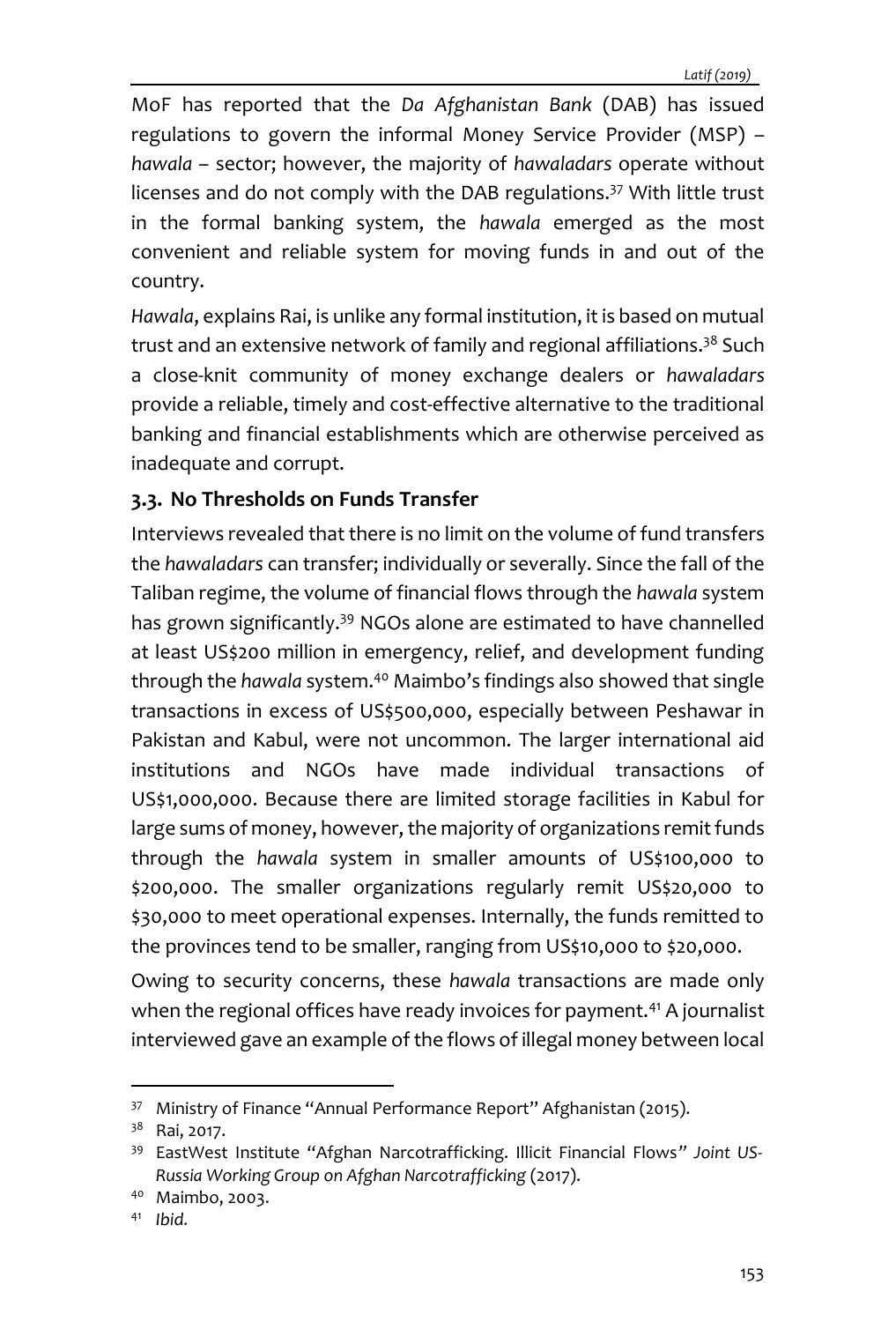MoF has reported that the *Da Afghanistan Bank* (DAB) has issued regulations to govern the informal Money Service Provider (MSP) – *hawala* – sector; however, the majority of *hawaladars* operate without licenses and do not comply with the DAB regulations.<sup>37</sup> With little trust in the formal banking system, the *hawala* emerged as the most convenient and reliable system for moving funds in and out of the country.

*Hawala*, explains Rai, is unlike any formal institution, it is based on mutual trust and an extensive network of family and regional affiliations.<sup>38</sup> Such a close-knit community of money exchange dealers or *hawaladars* provide a reliable, timely and cost-effective alternative to the traditional banking and financial establishments which are otherwise perceived as inadequate and corrupt.

### **3.3. No Thresholds on Funds Transfer**

Interviews revealed that there is no limit on the volume of fund transfers the *hawaladars* can transfer; individually or severally. Since the fall of the Taliban regime, the volume of financial flows through the *hawala* system has grown significantly.<sup>39</sup> NGOs alone are estimated to have channelled at least US\$200 million in emergency, relief, and development funding through the *hawala* system.<sup>40</sup> Maimbo's findings also showed that single transactions in excess of US\$500,000, especially between Peshawar in Pakistan and Kabul, were not uncommon. The larger international aid institutions and NGOs have made individual transactions of US\$1,000,000. Because there are limited storage facilities in Kabul for large sums of money, however, the majority of organizations remit funds through the *hawala* system in smaller amounts of US\$100,000 to \$200,000. The smaller organizations regularly remit US\$20,000 to \$30,000 to meet operational expenses. Internally, the funds remitted to the provinces tend to be smaller, ranging from US\$10,000 to \$20,000.

Owing to security concerns, these *hawala* transactions are made only when the regional offices have ready invoices for payment.<sup>41</sup> A journalist interviewed gave an example of the flows of illegal money between local

<sup>41</sup> *Ibid.*

<sup>&</sup>lt;sup>37</sup> Ministry of Finance "Annual Performance Report" Afghanistan (2015).

<sup>&</sup>lt;sup>38</sup> Rai, 2017.

<sup>39</sup> EastWest Institute "Afghan Narcotrafficking. Illicit Financial Flows*" Joint US-Russia Working Group on Afghan Narcotrafficking* (2017).

<sup>40</sup> Maimbo, 2003.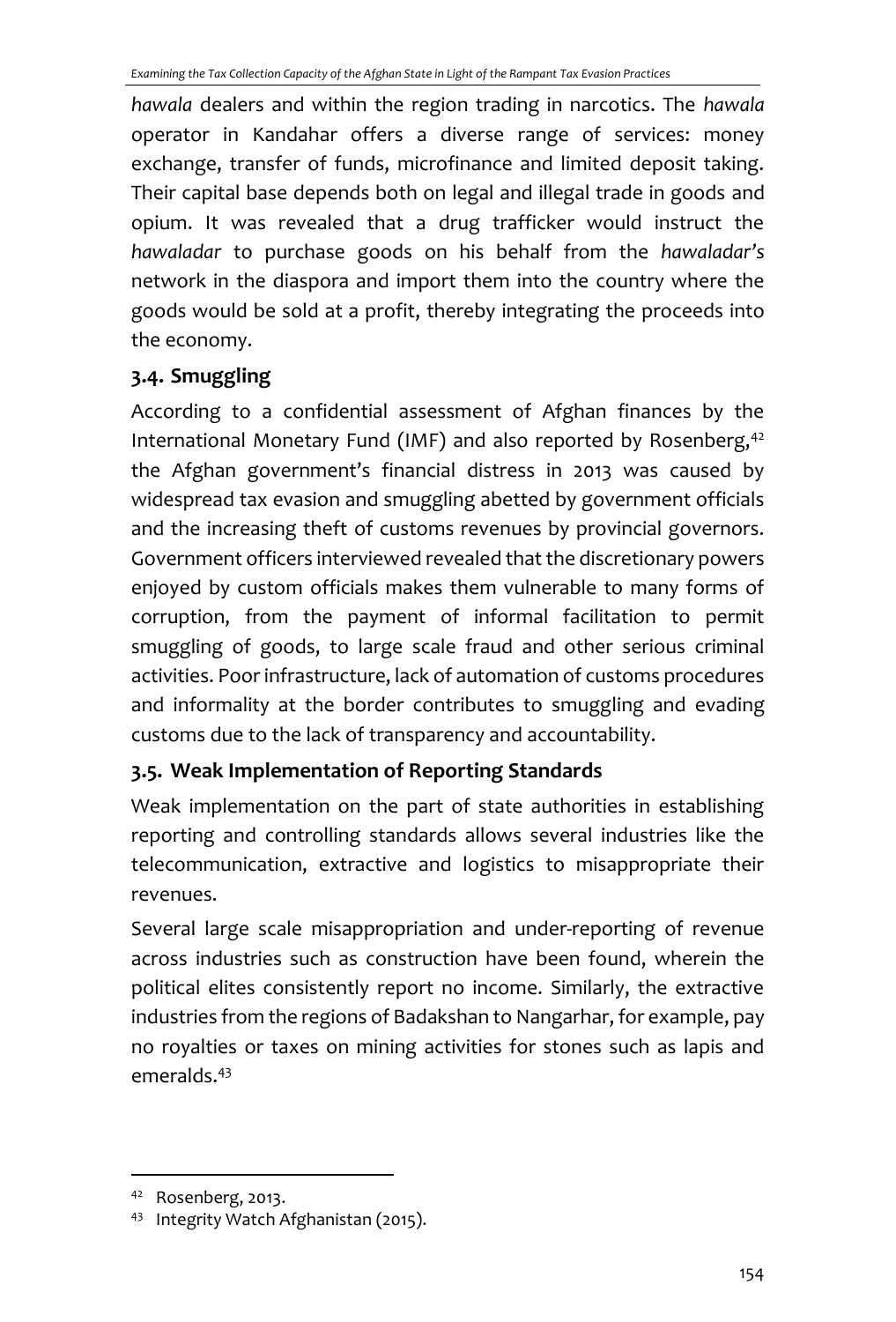*hawala* dealers and within the region trading in narcotics. The *hawala* operator in Kandahar offers a diverse range of services: money exchange, transfer of funds, microfinance and limited deposit taking. Their capital base depends both on legal and illegal trade in goods and opium. It was revealed that a drug trafficker would instruct the *hawaladar* to purchase goods on his behalf from the *hawaladar's* network in the diaspora and import them into the country where the goods would be sold at a profit, thereby integrating the proceeds into the economy.

# **3.4. Smuggling**

According to a confidential assessment of Afghan finances by the International Monetary Fund (IMF) and also reported by Rosenberg, $42$ the Afghan government's financial distress in 2013 was caused by widespread tax evasion and smuggling abetted by government officials and the increasing theft of customs revenues by provincial governors. Government officers interviewed revealed that the discretionary powers enjoyed by custom officials makes them vulnerable to many forms of corruption, from the payment of informal facilitation to permit smuggling of goods, to large scale fraud and other serious criminal activities. Poor infrastructure, lack of automation of customs procedures and informality at the border contributes to smuggling and evading customs due to the lack of transparency and accountability.

# **3.5. Weak Implementation of Reporting Standards**

Weak implementation on the part of state authorities in establishing reporting and controlling standards allows several industries like the telecommunication, extractive and logistics to misappropriate their revenues.

Several large scale misappropriation and under-reporting of revenue across industries such as construction have been found, wherein the political elites consistently report no income. Similarly, the extractive industries from the regions of Badakshan to Nangarhar, for example, pay no royalties or taxes on mining activities for stones such as lapis and emeralds.<sup>43</sup>

<sup>42</sup> Rosenberg, 2013.

<sup>43</sup> Integrity Watch Afghanistan (2015).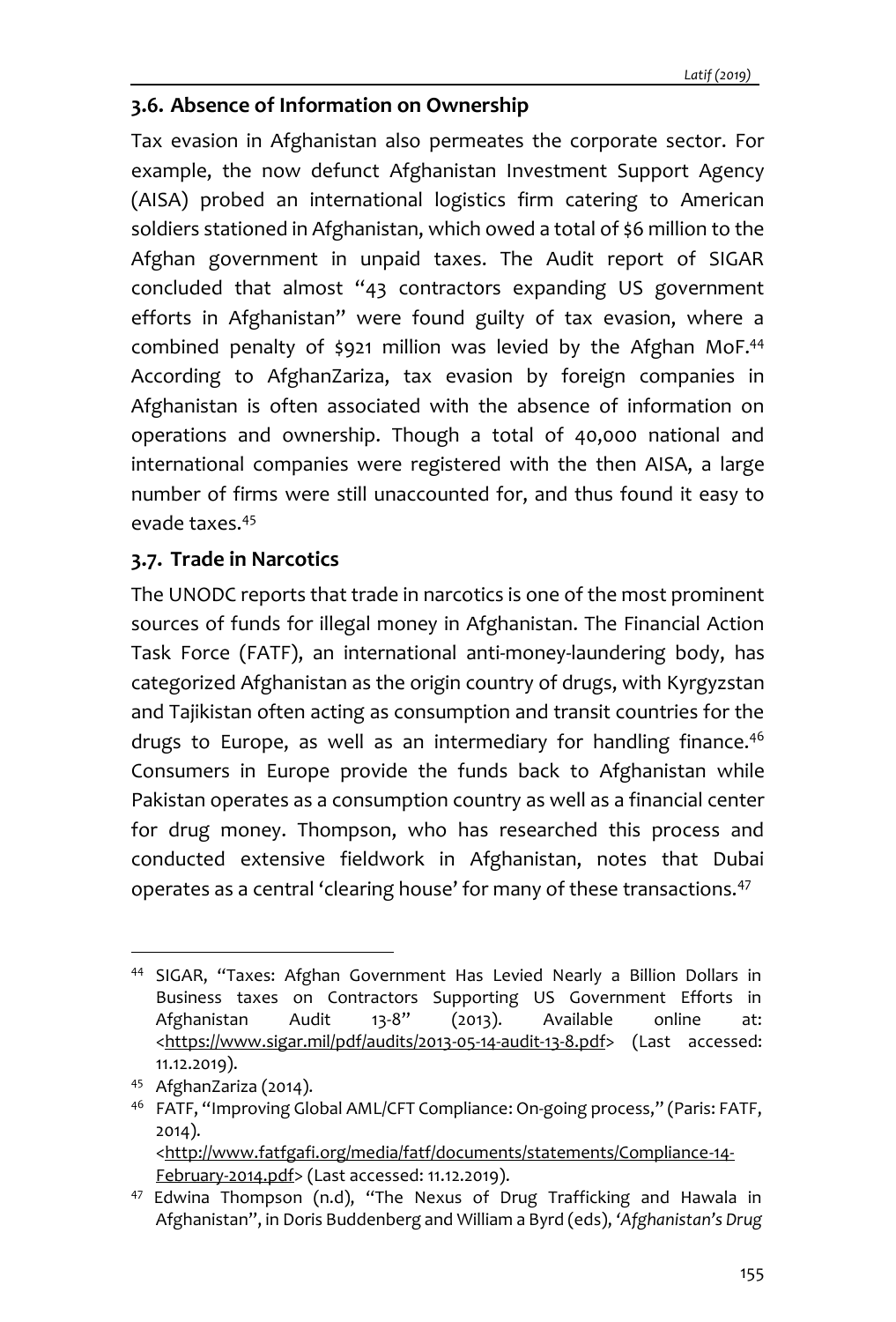### **3.6. Absence of Information on Ownership**

Tax evasion in Afghanistan also permeates the corporate sector. For example, the now defunct Afghanistan Investment Support Agency (AISA) probed an international logistics firm catering to American soldiers stationed in Afghanistan, which owed a total of \$6 million to the Afghan government in unpaid taxes. The Audit report of SIGAR concluded that almost "43 contractors expanding US government efforts in Afghanistan" were found guilty of tax evasion, where a combined penalty of \$921 million was levied by the Afghan MoF.<sup>44</sup> According to AfghanZariza, tax evasion by foreign companies in Afghanistan is often associated with the absence of information on operations and ownership. Though a total of 40,000 national and international companies were registered with the then AISA, a large number of firms were still unaccounted for, and thus found it easy to evade taxes.<sup>45</sup>

### **3.7. Trade in Narcotics**

The UNODC reports that trade in narcotics is one of the most prominent sources of funds for illegal money in Afghanistan. The Financial Action Task Force (FATF), an international anti-money-laundering body, has categorized Afghanistan as the origin country of drugs, with Kyrgyzstan and Tajikistan often acting as consumption and transit countries for the drugs to Europe, as well as an intermediary for handling finance.<sup>46</sup> Consumers in Europe provide the funds back to Afghanistan while Pakistan operates as a consumption country as well as a financial center for drug money. Thompson, who has researched this process and conducted extensive fieldwork in Afghanistan, notes that Dubai operates as a central 'clearing house' for many of these transactions.<sup>47</sup>

<sup>44</sup> SIGAR, "Taxes: Afghan Government Has Levied Nearly a Billion Dollars in Business taxes on Contractors Supporting US Government Efforts in Afghanistan Audit 13-8" (2013). Available online at: [<https://www.sigar.mil/pdf/audits/2013-05-14-audit-13-8.pdf>](https://www.sigar.mil/pdf/audits/2013-05-14-audit-13-8.pdf) (Last accessed: 11.12.2019).

<sup>45</sup> AfghanZariza (2014).

<sup>46</sup> FATF, "Improving Global AML/CFT Compliance: On-going process," (Paris: FATF, 2014). [<http://www.fatfgafi.org/media/fatf/documents/statements/Compliance-14-](http://www.fatfgafi.org/media/fatf/documents/statements/Compliance-14-February-2014.pdf) [February-2014.pdf>](http://www.fatfgafi.org/media/fatf/documents/statements/Compliance-14-February-2014.pdf) (Last accessed: 11.12.2019).

<sup>47</sup> Edwina Thompson (n.d), "The Nexus of Drug Trafficking and Hawala in Afghanistan", in Doris Buddenberg and William a Byrd (eds), *'Afghanistan's Drug*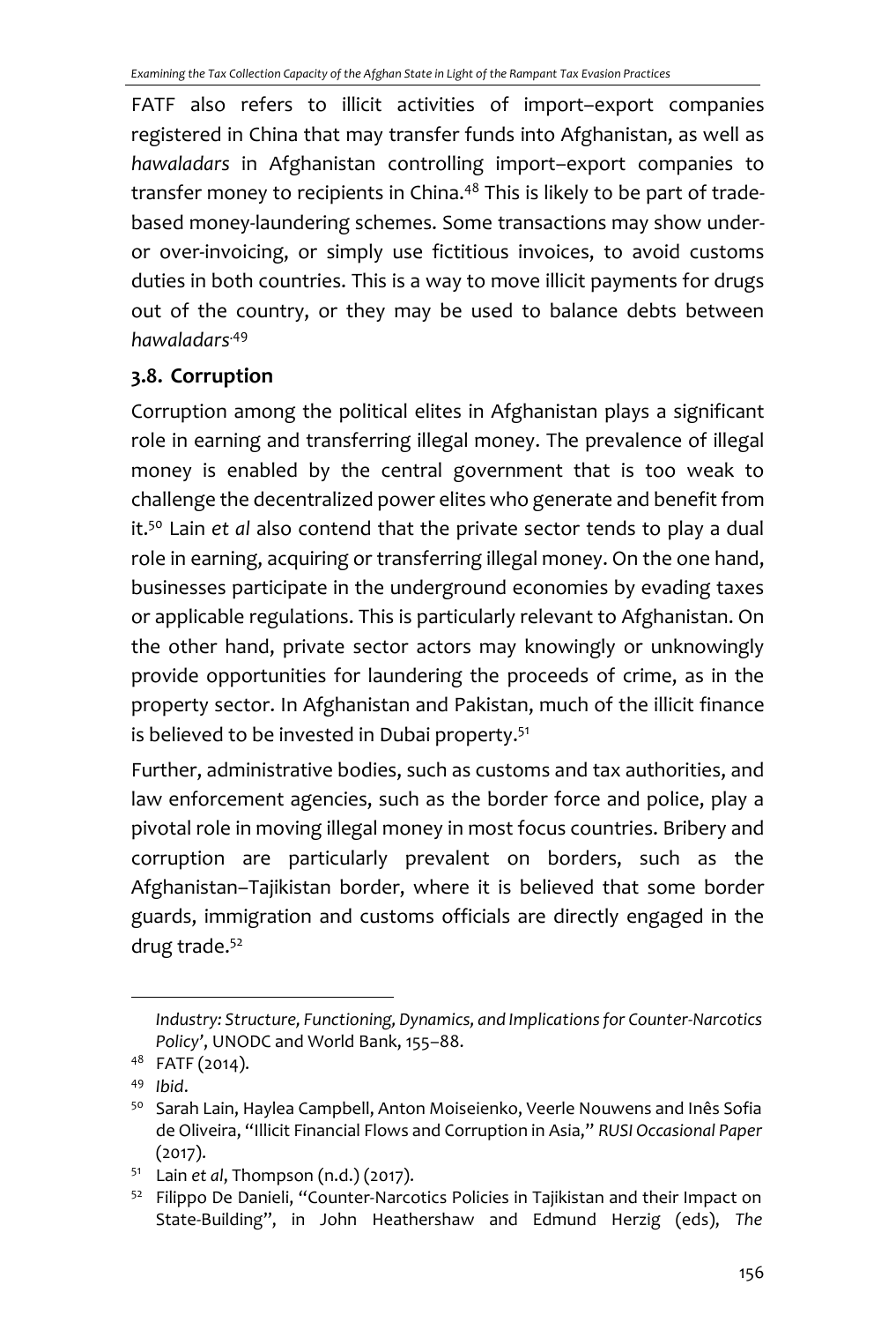FATF also refers to illicit activities of import–export companies registered in China that may transfer funds into Afghanistan, as well as *hawaladars* in Afghanistan controlling import–export companies to transfer money to recipients in China.<sup>48</sup> This is likely to be part of tradebased money-laundering schemes. Some transactions may show underor over-invoicing, or simply use fictitious invoices, to avoid customs duties in both countries. This is a way to move illicit payments for drugs out of the country, or they may be used to balance debts between *hawaladars*.49

## **3.8. Corruption**

Corruption among the political elites in Afghanistan plays a significant role in earning and transferring illegal money. The prevalence of illegal money is enabled by the central government that is too weak to challenge the decentralized power elites who generate and benefit from it. <sup>50</sup> Lain *et al* also contend that the private sector tends to play a dual role in earning, acquiring or transferring illegal money. On the one hand, businesses participate in the underground economies by evading taxes or applicable regulations. This is particularly relevant to Afghanistan. On the other hand, private sector actors may knowingly or unknowingly provide opportunities for laundering the proceeds of crime, as in the property sector. In Afghanistan and Pakistan, much of the illicit finance is believed to be invested in Dubai property.<sup>51</sup>

Further, administrative bodies, such as customs and tax authorities, and law enforcement agencies, such as the border force and police, play a pivotal role in moving illegal money in most focus countries. Bribery and corruption are particularly prevalent on borders, such as the Afghanistan–Tajikistan border, where it is believed that some border guards, immigration and customs officials are directly engaged in the drug trade.<sup>52</sup>

*Industry: Structure, Functioning, Dynamics, and Implications for Counter-Narcotics Policy'*, UNODC and World Bank, 155–88.

<sup>48</sup> FATF (2014).

<sup>49</sup> *Ibid*.

<sup>&</sup>lt;sup>50</sup> Sarah Lain, Haylea Campbell, Anton Moiseienko, Veerle Nouwens and Inês Sofia de Oliveira, "Illicit Financial Flows and Corruption in Asia," *RUSI Occasional Paper* (2017).

<sup>51</sup> Lain *et al*, Thompson (n.d.) (2017).

<sup>&</sup>lt;sup>52</sup> Filippo De Danieli, "Counter-Narcotics Policies in Tajikistan and their Impact on State-Building", in John Heathershaw and Edmund Herzig (eds), *The*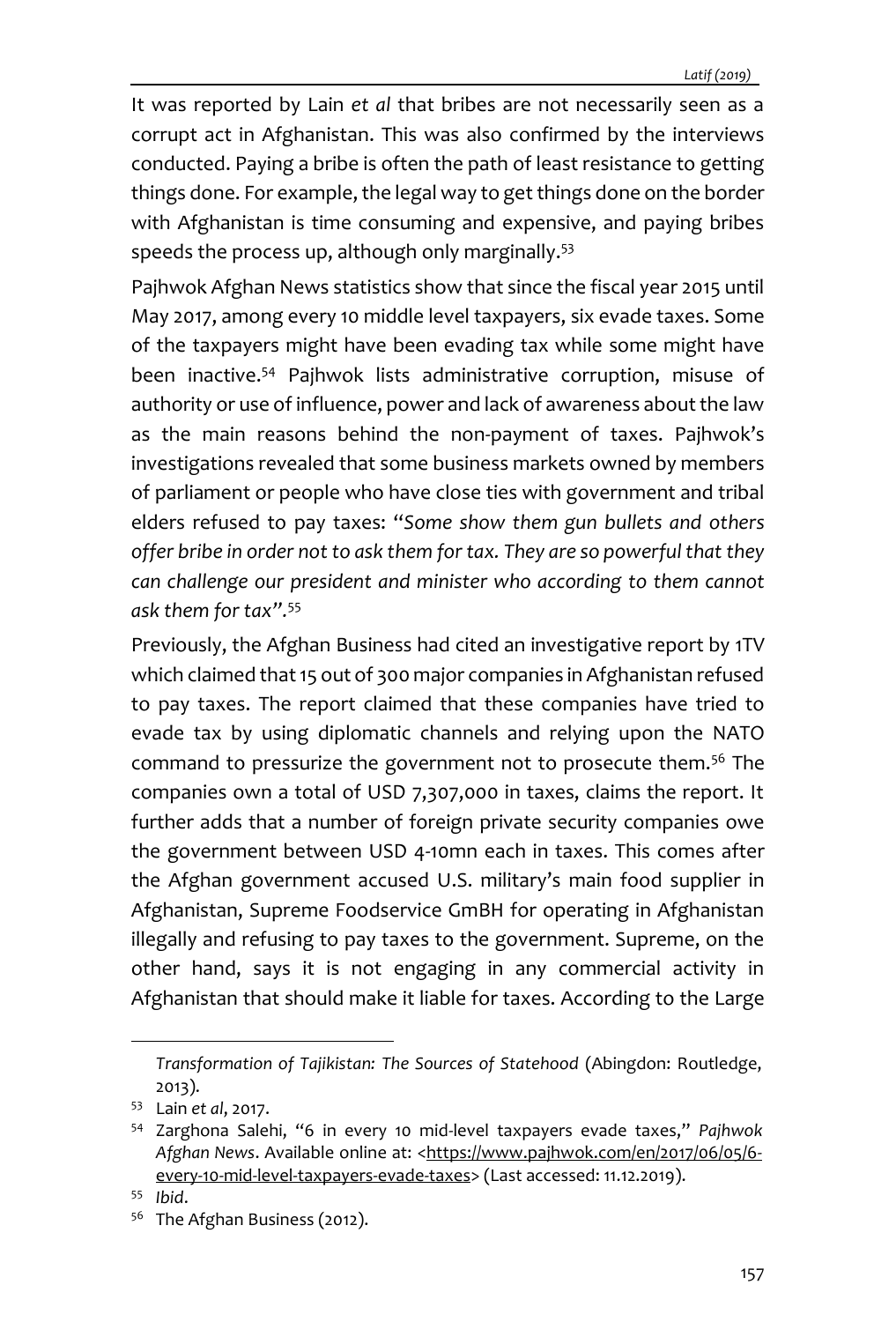It was reported by Lain *et al* that bribes are not necessarily seen as a corrupt act in Afghanistan. This was also confirmed by the interviews conducted. Paying a bribe is often the path of least resistance to getting things done. For example, the legal way to get things done on the border with Afghanistan is time consuming and expensive, and paying bribes speeds the process up, although only marginally.<sup>53</sup>

Pajhwok Afghan News statistics show that since the fiscal year 2015 until May 2017, among every 10 middle level taxpayers, six evade taxes. Some of the taxpayers might have been evading tax while some might have been inactive.<sup>54</sup> Pajhwok lists administrative corruption, misuse of authority or use of influence, power and lack of awareness about the law as the main reasons behind the non-payment of taxes. Pajhwok's investigations revealed that some business markets owned by members of parliament or people who have close ties with government and tribal elders refused to pay taxes: "*Some show them gun bullets and others offer bribe in order not to ask them for tax. They are so powerful that they can challenge our president and minister who according to them cannot ask them for tax".* 55

Previously, the Afghan Business had cited an investigative report by 1TV which claimed that 15 out of 300 major companies in Afghanistan refused to pay taxes. The report claimed that these companies have tried to evade tax by using diplomatic channels and relying upon the NATO command to pressurize the government not to prosecute them.<sup>56</sup> The companies own a total of USD 7,307,000 in taxes, claims the report. It further adds that a number of foreign private security companies owe the government between USD 4-10mn each in taxes. This comes after the Afghan government accused U.S. military's main food supplier in Afghanistan, Supreme Foodservice GmBH for operating in Afghanistan illegally and refusing to pay taxes to the government. Supreme, on the other hand, says it is not engaging in any commercial activity in Afghanistan that should make it liable for taxes. According to the Large

*Transformation of Tajikistan: The Sources of Statehood* (Abingdon: Routledge, 2013).

<sup>53</sup> Lain *et al*, 2017.

<sup>54</sup> Zarghona Salehi, "6 in every 10 mid-level taxpayers evade taxes," *Pajhwok*  Afghan News. Available online at: [<https://www.pajhwok.com/en/2017/06/05/6](https://www.pajhwok.com/en/2017/06/05/6-every-10-mid-level-taxpayers-evade-taxes) [every-10-mid-level-taxpayers-evade-taxes>](https://www.pajhwok.com/en/2017/06/05/6-every-10-mid-level-taxpayers-evade-taxes) (Last accessed: 11.12.2019).

<sup>55</sup> *Ibid*.

<sup>56</sup> The Afghan Business (2012).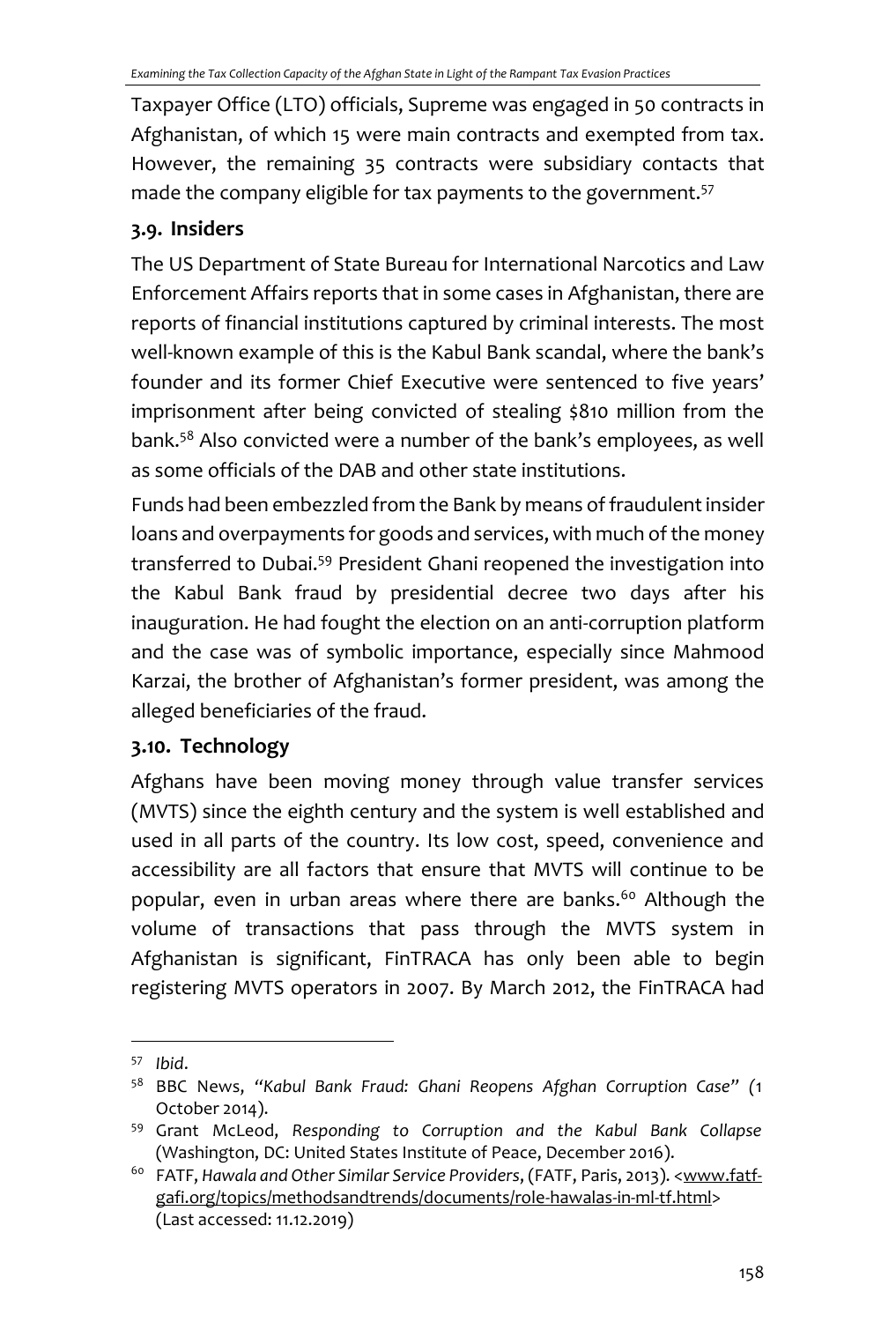Taxpayer Office (LTO) officials, Supreme was engaged in 50 contracts in Afghanistan, of which 15 were main contracts and exempted from tax. However, the remaining 35 contracts were subsidiary contacts that made the company eligible for tax payments to the government.<sup>57</sup>

## **3.9. Insiders**

The US Department of State Bureau for International Narcotics and Law Enforcement Affairs reports that in some cases in Afghanistan, there are reports of financial institutions captured by criminal interests. The most well-known example of this is the Kabul Bank scandal, where the bank's founder and its former Chief Executive were sentenced to five years' imprisonment after being convicted of stealing \$810 million from the bank.<sup>58</sup> Also convicted were a number of the bank's employees, as well as some officials of the DAB and other state institutions.

Funds had been embezzled from the Bank by means of fraudulent insider loans and overpayments for goods and services, with much of the money transferred to Dubai.<sup>59</sup> President Ghani reopened the investigation into the Kabul Bank fraud by presidential decree two days after his inauguration. He had fought the election on an anti-corruption platform and the case was of symbolic importance, especially since Mahmood Karzai, the brother of Afghanistan's former president, was among the alleged beneficiaries of the fraud.

# **3.10. Technology**

Afghans have been moving money through value transfer services (MVTS) since the eighth century and the system is well established and used in all parts of the country. Its low cost, speed, convenience and accessibility are all factors that ensure that MVTS will continue to be popular, even in urban areas where there are banks.<sup>60</sup> Although the volume of transactions that pass through the MVTS system in Afghanistan is significant, FinTRACA has only been able to begin registering MVTS operators in 2007. By March 2012, the FinTRACA had

<sup>57</sup> *Ibid*.

<sup>58</sup> BBC News, *"Kabul Bank Fraud: Ghani Reopens Afghan Corruption Case" (*1 October 2014).

<sup>59</sup> Grant McLeod, *Responding to Corruption and the Kabul Bank Collapse*  (Washington, DC: United States Institute of Peace, December 2016).

<sup>&</sup>lt;sup>60</sup> FATF, Hawala and Other Similar Service Providers, (FATF, Paris, 2013). [<www.fatf](http://www.fatf-gafi.org/topics/methodsandtrends/documents/role-hawalas-in-ml-tf.html)[gafi.org/topics/methodsandtrends/documents/role-hawalas-in-ml-tf.html>](http://www.fatf-gafi.org/topics/methodsandtrends/documents/role-hawalas-in-ml-tf.html) (Last accessed: 11.12.2019)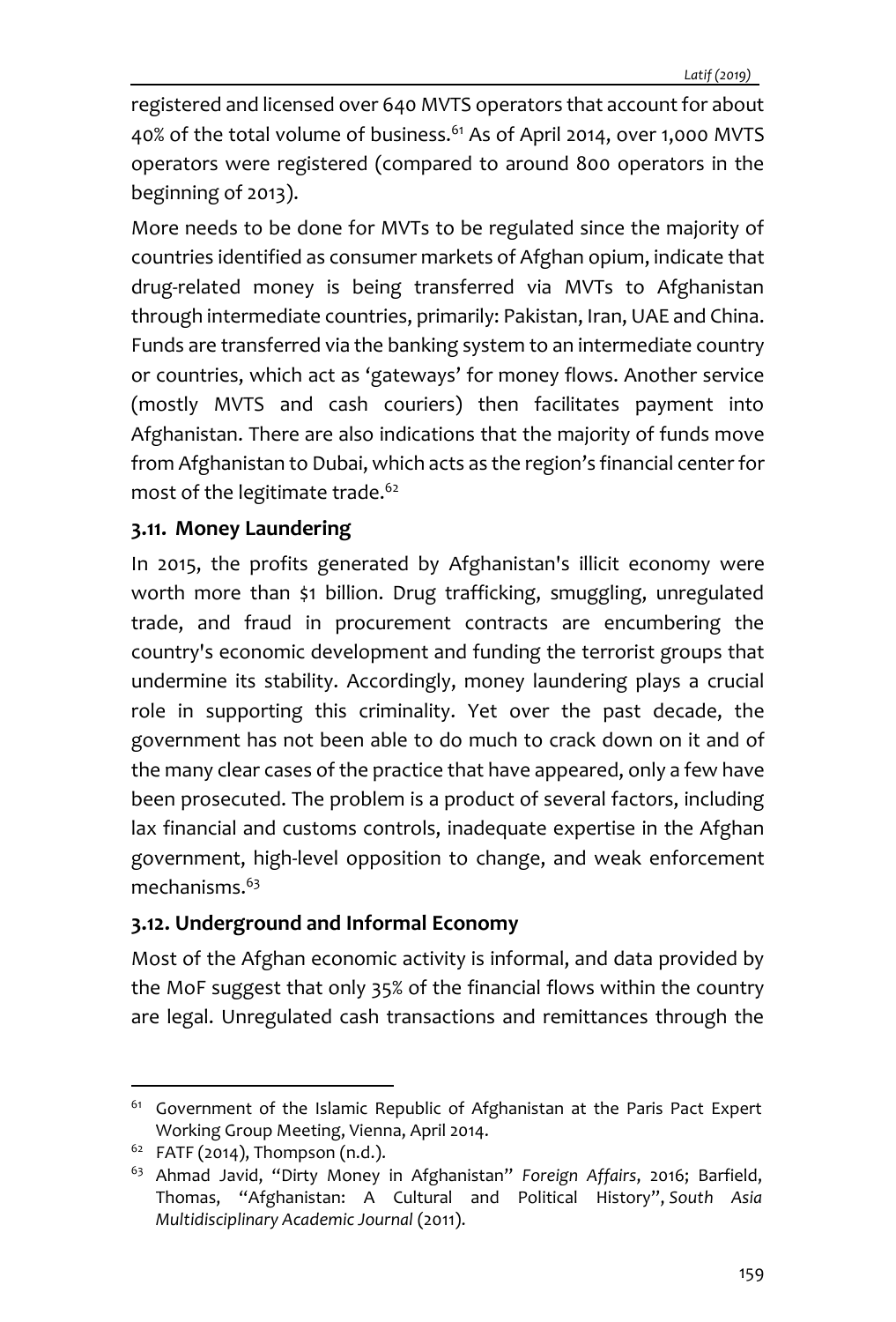registered and licensed over 640 MVTS operators that account for about 40% of the total volume of business.<sup>61</sup> As of April 2014, over 1,000 MVTS operators were registered (compared to around 800 operators in the beginning of 2013).

More needs to be done for MVTs to be regulated since the majority of countries identified as consumer markets of Afghan opium, indicate that drug-related money is being transferred via MVTs to Afghanistan through intermediate countries, primarily: Pakistan, Iran, UAE and China. Funds are transferred via the banking system to an intermediate country or countries, which act as 'gateways' for money flows. Another service (mostly MVTS and cash couriers) then facilitates payment into Afghanistan. There are also indications that the majority of funds move from Afghanistan to Dubai, which acts as the region's financial center for most of the legitimate trade.<sup>62</sup>

### **3.11. Money Laundering**

In 2015, the profits generated by Afghanistan's illicit economy were worth more than \$1 billion. Drug trafficking, smuggling, unregulated trade, and fraud in procurement contracts are encumbering the country's economic development and funding the terrorist groups that undermine its stability. Accordingly, money laundering plays a crucial role in supporting this criminality. Yet over the past decade, the government has not been able to do much to crack down on it and of the many clear cases of the practice that have appeared, only a few have been prosecuted. The problem is a product of several factors, including lax financial and customs controls, inadequate expertise in the Afghan government, high-level opposition to change, and weak enforcement mechanisms.<sup>63</sup>

### **3.12. Underground and Informal Economy**

Most of the Afghan economic activity is informal, and data provided by the MoF suggest that only 35% of the financial flows within the country are legal. Unregulated cash transactions and remittances through the

<sup>&</sup>lt;sup>61</sup> Government of the Islamic Republic of Afghanistan at the Paris Pact Expert Working Group Meeting, Vienna, April 2014.

 $62$  FATF (2014), Thompson (n.d.).

<sup>63</sup> Ahmad Javid, "Dirty Money in Afghanistan" *Foreign Affairs*, 2016; Barfield, Thomas, "Afghanistan: A Cultural and Political History", *South Asia Multidisciplinary Academic Journal* (2011).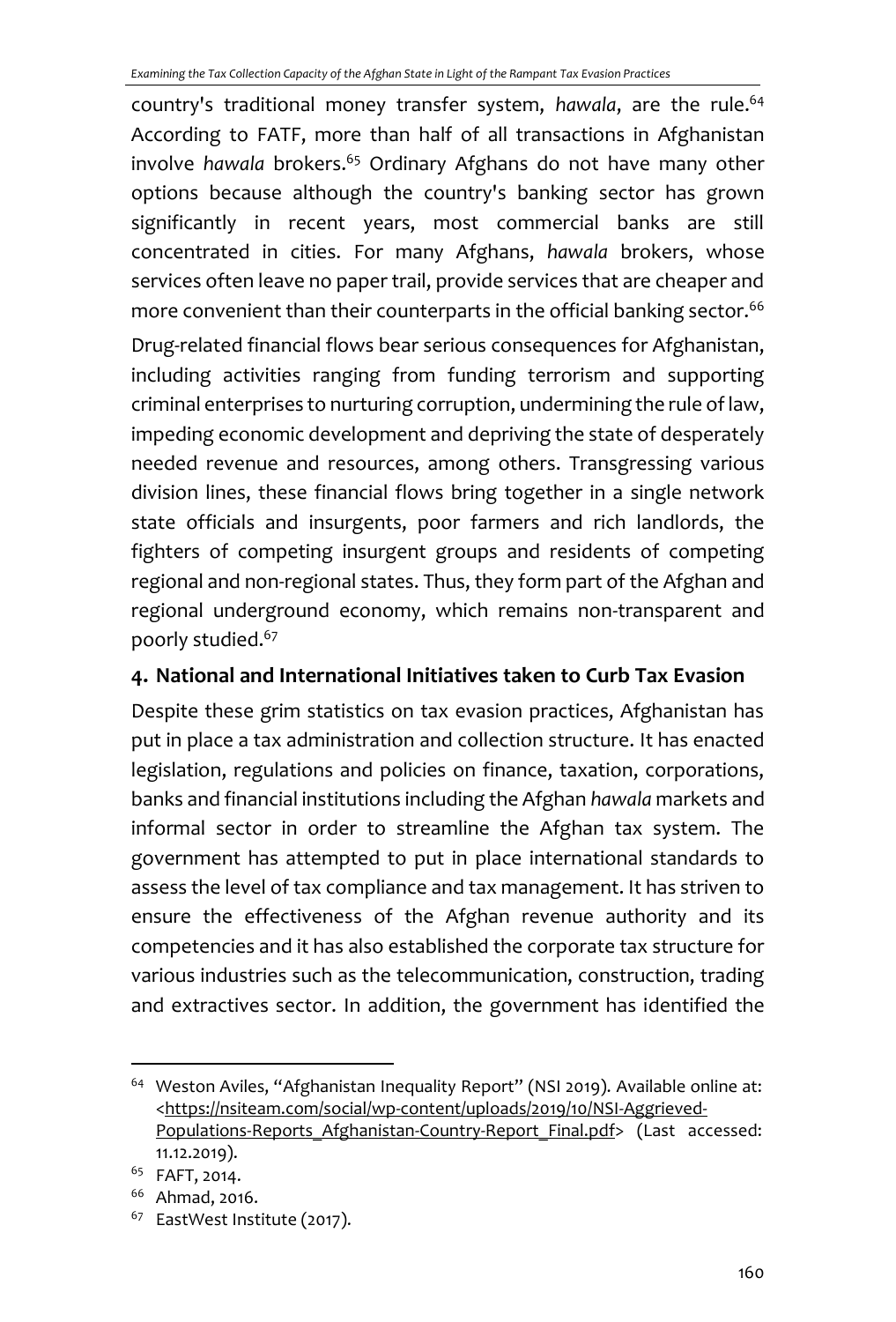country's traditional money transfer system, *hawala*, are the rule.<sup>64</sup> According to FATF, more than half of all transactions in Afghanistan involve *hawala* brokers.<sup>65</sup> Ordinary Afghans do not have many other options because although the country's banking sector has grown significantly in recent years, most commercial banks are still concentrated in cities. For many Afghans, *hawala* brokers, whose services often leave no paper trail, provide services that are cheaper and more convenient than their counterparts in the official banking sector.<sup>66</sup>

Drug-related financial flows bear serious consequences for Afghanistan, including activities ranging from funding terrorism and supporting criminal enterprises to nurturing corruption, undermining the rule of law, impeding economic development and depriving the state of desperately needed revenue and resources, among others. Transgressing various division lines, these financial flows bring together in a single network state officials and insurgents, poor farmers and rich landlords, the fighters of competing insurgent groups and residents of competing regional and non-regional states. Thus, they form part of the Afghan and regional underground economy, which remains non-transparent and poorly studied.<sup>67</sup>

### **4. National and International Initiatives taken to Curb Tax Evasion**

Despite these grim statistics on tax evasion practices, Afghanistan has put in place a tax administration and collection structure. It has enacted legislation, regulations and policies on finance, taxation, corporations, banks and financial institutions including the Afghan *hawala* markets and informal sector in order to streamline the Afghan tax system. The government has attempted to put in place international standards to assess the level of tax compliance and tax management. It has striven to ensure the effectiveness of the Afghan revenue authority and its competencies and it has also established the corporate tax structure for various industries such as the telecommunication, construction, trading and extractives sector. In addition, the government has identified the

<sup>&</sup>lt;sup>64</sup> Weston Aviles, "Afghanistan Inequality Report" (NSI 2019). Available online at: [<https://nsiteam.com/social/wp-content/uploads/2019/10/NSI-Aggrieved-](https://nsiteam.com/social/wp-content/uploads/2019/10/NSI-Aggrieved-Populations-Reports_Afghanistan-Country-Report_Final.pdf)Populations-Reports Afghanistan-Country-Report Final.pdf> (Last accessed: 11.12.2019).

<sup>65</sup> FAFT, 2014.

<sup>66</sup> Ahmad, 2016.

<sup>&</sup>lt;sup>67</sup> EastWest Institute (2017).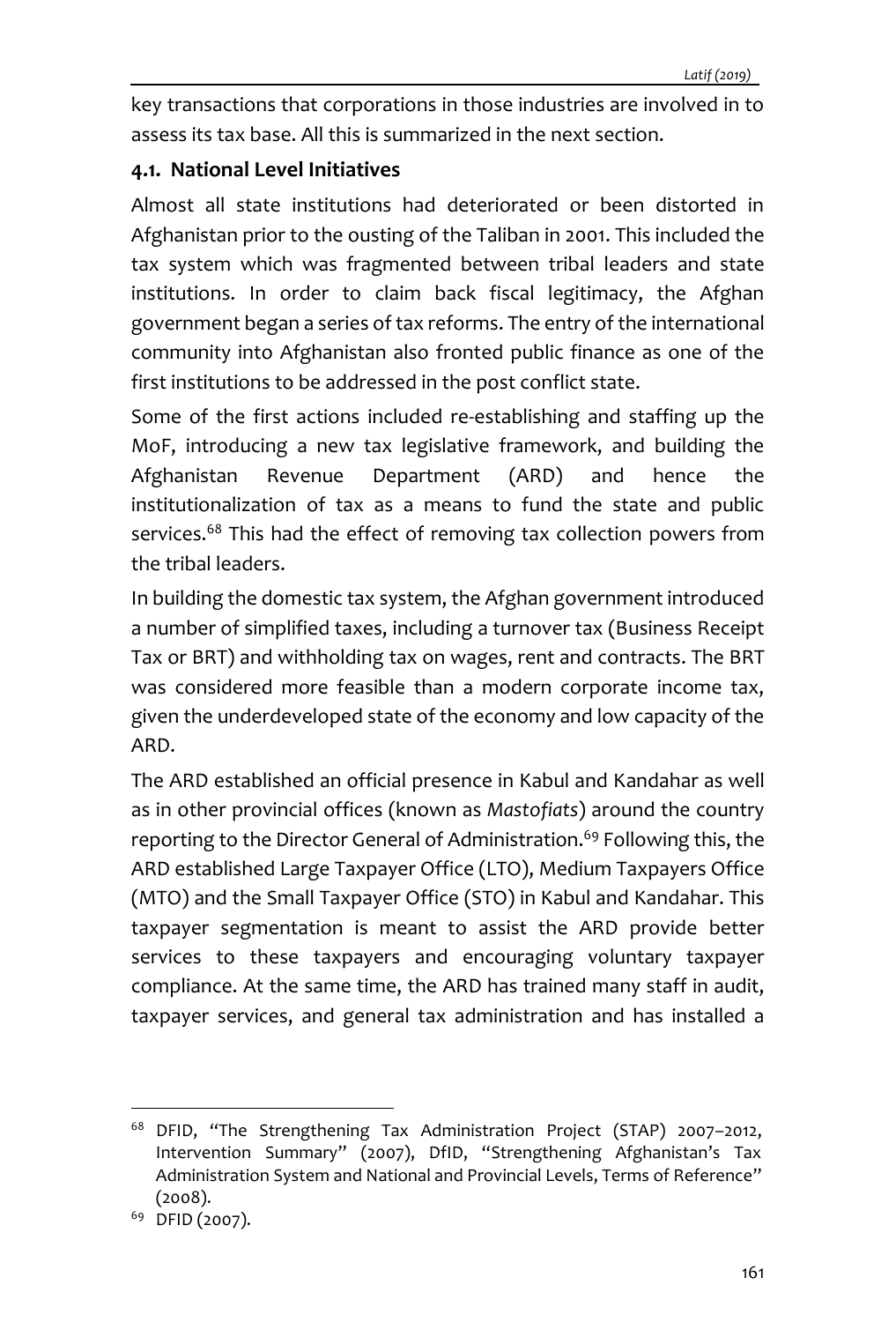key transactions that corporations in those industries are involved in to assess its tax base. All this is summarized in the next section.

#### **4.1. National Level Initiatives**

Almost all state institutions had deteriorated or been distorted in Afghanistan prior to the ousting of the Taliban in 2001. This included the tax system which was fragmented between tribal leaders and state institutions. In order to claim back fiscal legitimacy, the Afghan government began a series of tax reforms. The entry of the international community into Afghanistan also fronted public finance as one of the first institutions to be addressed in the post conflict state.

Some of the first actions included re-establishing and staffing up the MoF, introducing a new tax legislative framework, and building the Afghanistan Revenue Department (ARD) and hence the institutionalization of tax as a means to fund the state and public services.<sup>68</sup> This had the effect of removing tax collection powers from the tribal leaders.

In building the domestic tax system, the Afghan government introduced a number of simplified taxes, including a turnover tax (Business Receipt Tax or BRT) and withholding tax on wages, rent and contracts. The BRT was considered more feasible than a modern corporate income tax, given the underdeveloped state of the economy and low capacity of the ARD.

The ARD established an official presence in Kabul and Kandahar as well as in other provincial offices (known as *Mastofiats*) around the country reporting to the Director General of Administration. <sup>69</sup> Following this, the ARD established Large Taxpayer Office (LTO), Medium Taxpayers Office (MTO) and the Small Taxpayer Office (STO) in Kabul and Kandahar. This taxpayer segmentation is meant to assist the ARD provide better services to these taxpayers and encouraging voluntary taxpayer compliance. At the same time, the ARD has trained many staff in audit, taxpayer services, and general tax administration and has installed a

<sup>68</sup> DFID, "The Strengthening Tax Administration Project (STAP) 2007–2012, Intervention Summary" (2007), DfID, "Strengthening Afghanistan's Tax Administration System and National and Provincial Levels, Terms of Reference" (2008).

<sup>&</sup>lt;sup>69</sup> DFID (2007).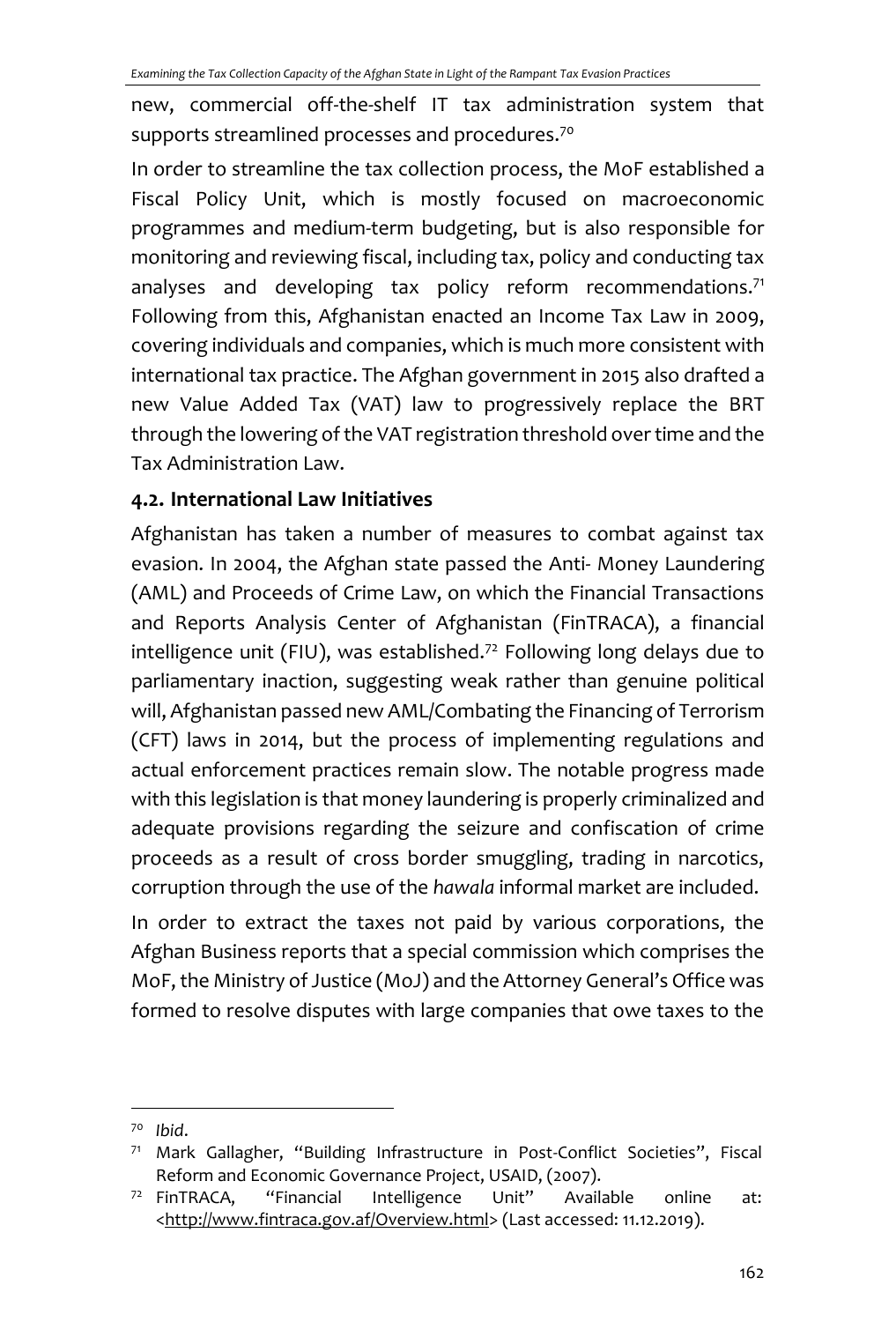new, commercial off-the-shelf IT tax administration system that supports streamlined processes and procedures.<sup>70</sup>

In order to streamline the tax collection process, the MoF established a Fiscal Policy Unit, which is mostly focused on macroeconomic programmes and medium-term budgeting, but is also responsible for monitoring and reviewing fiscal, including tax, policy and conducting tax analyses and developing tax policy reform recommendations. $71$ Following from this, Afghanistan enacted an Income Tax Law in 2009, covering individuals and companies, which is much more consistent with international tax practice. The Afghan government in 2015 also drafted a new Value Added Tax (VAT) law to progressively replace the BRT through the lowering of the VAT registration threshold over time and the Tax Administration Law.

### **4.2. International Law Initiatives**

Afghanistan has taken a number of measures to combat against tax evasion. In 2004, the Afghan state passed the Anti- Money Laundering (AML) and Proceeds of Crime Law, on which the Financial Transactions and Reports Analysis Center of Afghanistan (FinTRACA), a financial intelligence unit (FIU), was established.<sup>72</sup> Following long delays due to parliamentary inaction, suggesting weak rather than genuine political will, Afghanistan passed new AML/Combating the Financing of Terrorism (CFT) laws in 2014, but the process of implementing regulations and actual enforcement practices remain slow. The notable progress made with this legislation is that money laundering is properly criminalized and adequate provisions regarding the seizure and confiscation of crime proceeds as a result of cross border smuggling, trading in narcotics, corruption through the use of the *hawala* informal market are included.

In order to extract the taxes not paid by various corporations, the Afghan Business reports that a special commission which comprises the MoF, the Ministry of Justice (MoJ) and the Attorney General's Office was formed to resolve disputes with large companies that owe taxes to the

<sup>70</sup> *Ibid*.

<sup>71</sup> Mark Gallagher, "Building Infrastructure in Post-Conflict Societies", Fiscal Reform and Economic Governance Project, USAID, (2007).

<sup>72</sup> FinTRACA, "Financial Intelligence Unit" Available online at: [<http://www.fintraca.gov.af/Overview.html>](http://www.fintraca.gov.af/Overview.html) (Last accessed: 11.12.2019).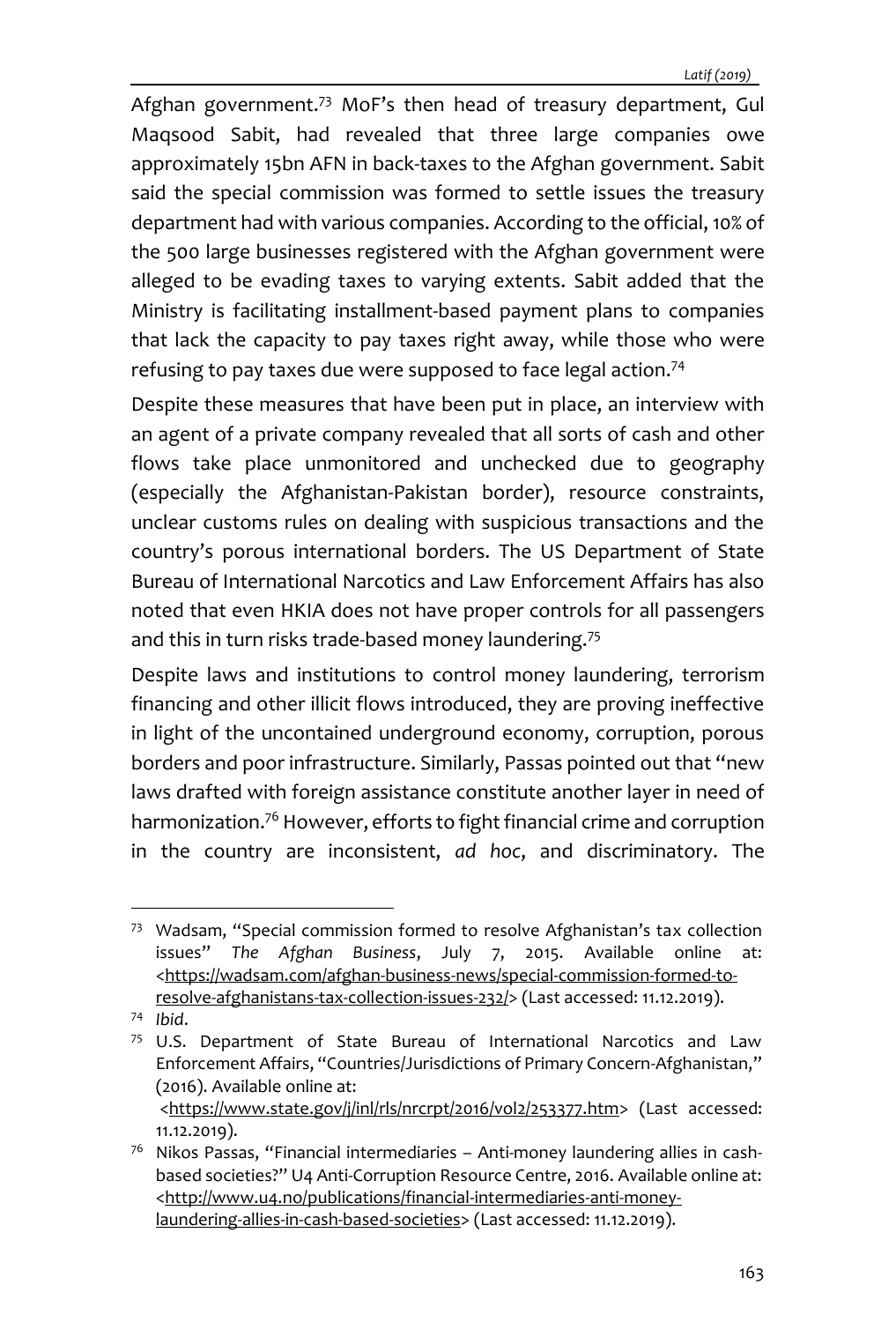Afghan government.<sup>73</sup> MoF's then head of treasury department, Gul Maqsood Sabit, had revealed that three large companies owe approximately 15bn AFN in back-taxes to the Afghan government. Sabit said the special commission was formed to settle issues the treasury department had with various companies. According to the official, 10% of the 500 large businesses registered with the Afghan government were alleged to be evading taxes to varying extents. Sabit added that the Ministry is facilitating installment-based payment plans to companies that lack the capacity to pay taxes right away, while those who were refusing to pay taxes due were supposed to face legal action.<sup>74</sup>

Despite these measures that have been put in place, an interview with an agent of a private company revealed that all sorts of cash and other flows take place unmonitored and unchecked due to geography (especially the Afghanistan-Pakistan border), resource constraints, unclear customs rules on dealing with suspicious transactions and the country's porous international borders. The US Department of State Bureau of International Narcotics and Law Enforcement Affairs has also noted that even HKIA does not have proper controls for all passengers and this in turn risks trade-based money laundering.<sup>75</sup>

Despite laws and institutions to control money laundering, terrorism financing and other illicit flows introduced, they are proving ineffective in light of the uncontained underground economy, corruption, porous borders and poor infrastructure. Similarly, Passas pointed out that "new laws drafted with foreign assistance constitute another layer in need of harmonization.<sup>76</sup> However, efforts to fight financial crime and corruption in the country are inconsistent, *ad hoc*, and discriminatory. The

<sup>73</sup> Wadsam, "Special commission formed to resolve Afghanistan's tax collection issues" *The Afghan Business*, July 7, 2015. Available online at: [<https://wadsam.com/afghan-business-news/special-commission-formed-to](https://wadsam.com/afghan-business-news/special-commission-formed-to-resolve-afghanistans-tax-collection-issues-232/)[resolve-afghanistans-tax-collection-issues-232/>](https://wadsam.com/afghan-business-news/special-commission-formed-to-resolve-afghanistans-tax-collection-issues-232/) (Last accessed: 11.12.2019).

<sup>74</sup> *Ibid*.

 $75$  U.S. Department of State Bureau of International Narcotics and Law Enforcement Affairs, "Countries/Jurisdictions of Primary Concern-Afghanistan," (2016). Available online at: [<https://www.state.gov/j/inl/rls/nrcrpt/2016/vol2/253377.htm>](https://www.state.gov/j/inl/rls/nrcrpt/2016/vol2/253377.htm) (Last accessed:

<sup>11.12.2019).</sup> 

<sup>&</sup>lt;sup>76</sup> Nikos Passas, "Financial intermediaries - Anti-money laundering allies in cashbased societies?" U4 Anti-Corruption Resource Centre, 2016. Available online at: [<http://www.u4.no/publications/financial-intermediaries-anti-money](http://www.u4.no/publications/financial-intermediaries-anti-money-laundering-allies-in-cash-based-societies)[laundering-allies-in-cash-based-societies>](http://www.u4.no/publications/financial-intermediaries-anti-money-laundering-allies-in-cash-based-societies) (Last accessed: 11.12.2019).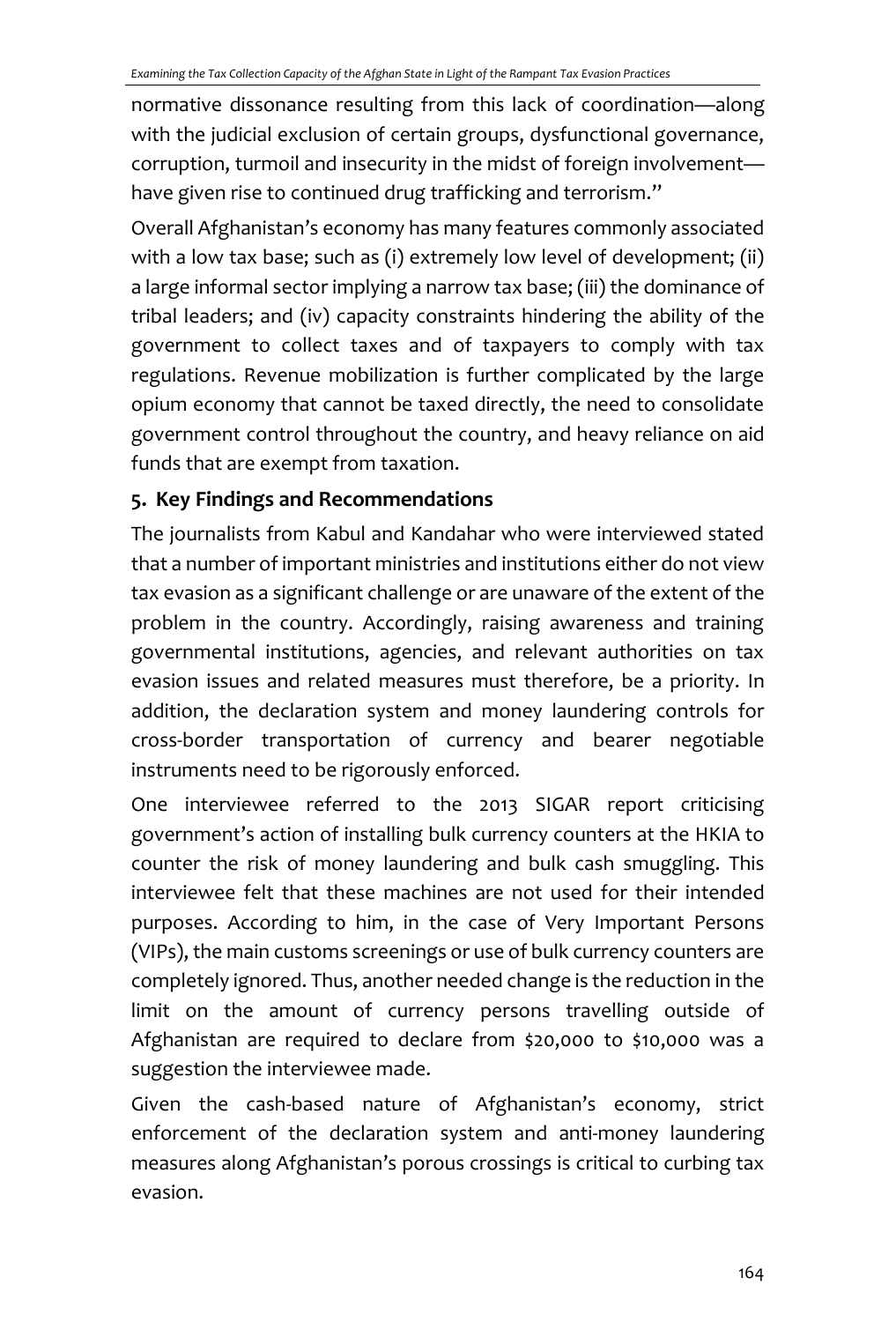normative dissonance resulting from this lack of coordination—along with the judicial exclusion of certain groups, dysfunctional governance, corruption, turmoil and insecurity in the midst of foreign involvement have given rise to continued drug trafficking and terrorism."

Overall Afghanistan's economy has many features commonly associated with a low tax base; such as (i) extremely low level of development; (ii) a large informal sector implying a narrow tax base; (iii) the dominance of tribal leaders; and (iv) capacity constraints hindering the ability of the government to collect taxes and of taxpayers to comply with tax regulations. Revenue mobilization is further complicated by the large opium economy that cannot be taxed directly, the need to consolidate government control throughout the country, and heavy reliance on aid funds that are exempt from taxation.

### **5. Key Findings and Recommendations**

The journalists from Kabul and Kandahar who were interviewed stated that a number of important ministries and institutions either do not view tax evasion as a significant challenge or are unaware of the extent of the problem in the country. Accordingly, raising awareness and training governmental institutions, agencies, and relevant authorities on tax evasion issues and related measures must therefore, be a priority. In addition, the declaration system and money laundering controls for cross‐border transportation of currency and bearer negotiable instruments need to be rigorously enforced.

One interviewee referred to the 2013 SIGAR report criticising government's action of installing bulk currency counters at the HKIA to counter the risk of money laundering and bulk cash smuggling. This interviewee felt that these machines are not used for their intended purposes. According to him, in the case of Very Important Persons (VIPs), the main customs screenings or use of bulk currency counters are completely ignored. Thus, another needed change is the reduction in the limit on the amount of currency persons travelling outside of Afghanistan are required to declare from \$20,000 to \$10,000 was a suggestion the interviewee made.

Given the cash-based nature of Afghanistan's economy, strict enforcement of the declaration system and anti-money laundering measures along Afghanistan's porous crossings is critical to curbing tax evasion.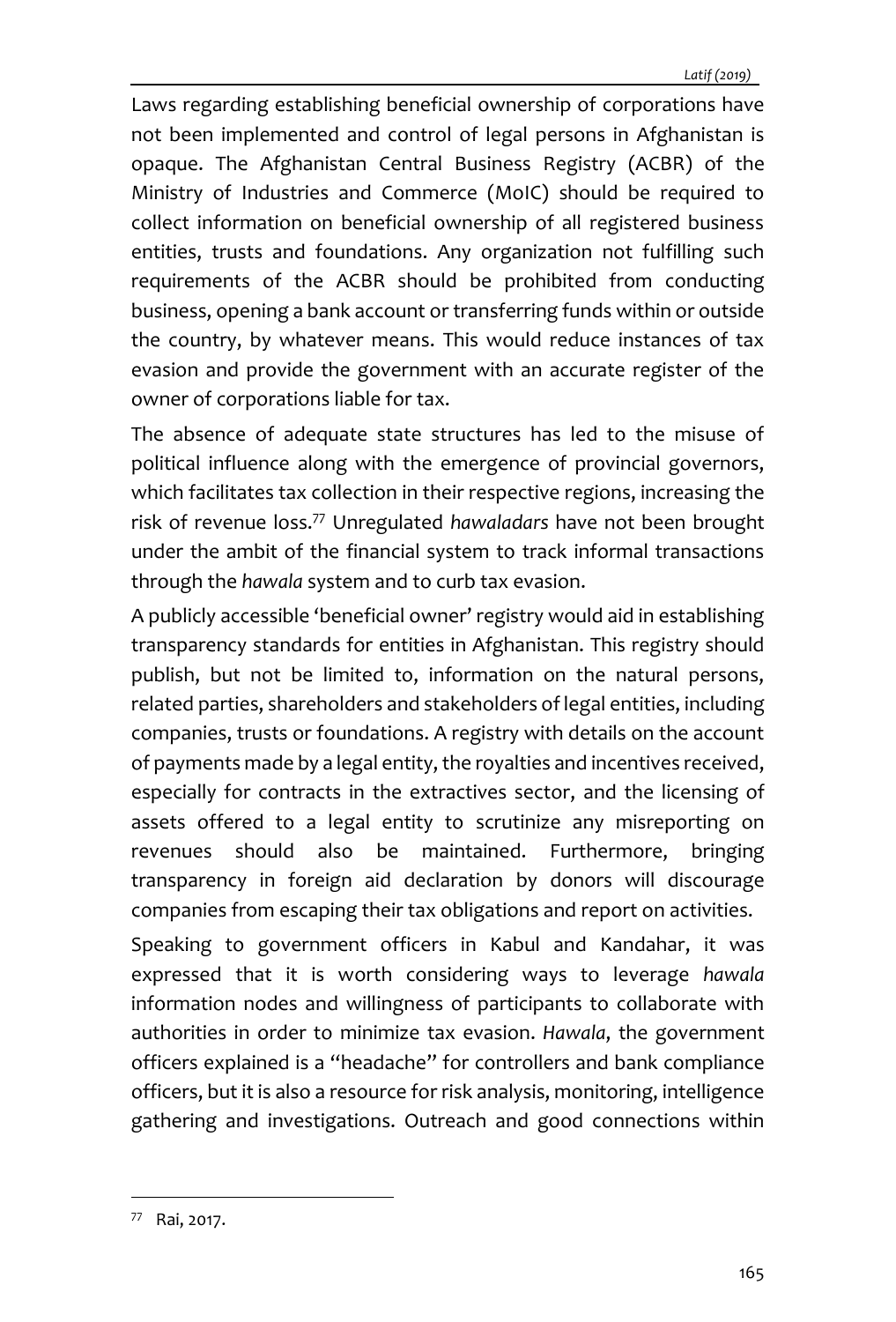Laws regarding establishing beneficial ownership of corporations have not been implemented and control of legal persons in Afghanistan is opaque. The Afghanistan Central Business Registry (ACBR) of the Ministry of Industries and Commerce (MoIC) should be required to collect information on beneficial ownership of all registered business entities, trusts and foundations. Any organization not fulfilling such requirements of the ACBR should be prohibited from conducting business, opening a bank account or transferring funds within or outside the country, by whatever means. This would reduce instances of tax evasion and provide the government with an accurate register of the owner of corporations liable for tax.

The absence of adequate state structures has led to the misuse of political influence along with the emergence of provincial governors, which facilitates tax collection in their respective regions, increasing the risk of revenue loss.<sup>77</sup> Unregulated *hawaladars* have not been brought under the ambit of the financial system to track informal transactions through the *hawala* system and to curb tax evasion.

A publicly accessible 'beneficial owner' registry would aid in establishing transparency standards for entities in Afghanistan. This registry should publish, but not be limited to, information on the natural persons, related parties, shareholders and stakeholders of legal entities, including companies, trusts or foundations. A registry with details on the account of payments made by a legal entity, the royalties and incentives received, especially for contracts in the extractives sector, and the licensing of assets offered to a legal entity to scrutinize any misreporting on revenues should also be maintained. Furthermore, bringing transparency in foreign aid declaration by donors will discourage companies from escaping their tax obligations and report on activities.

Speaking to government officers in Kabul and Kandahar, it was expressed that it is worth considering ways to leverage *hawala* information nodes and willingness of participants to collaborate with authorities in order to minimize tax evasion. *Hawala*, the government officers explained is a "headache" for controllers and bank compliance officers, but it is also a resource for risk analysis, monitoring, intelligence gathering and investigations. Outreach and good connections within

<sup>77</sup> Rai, 2017.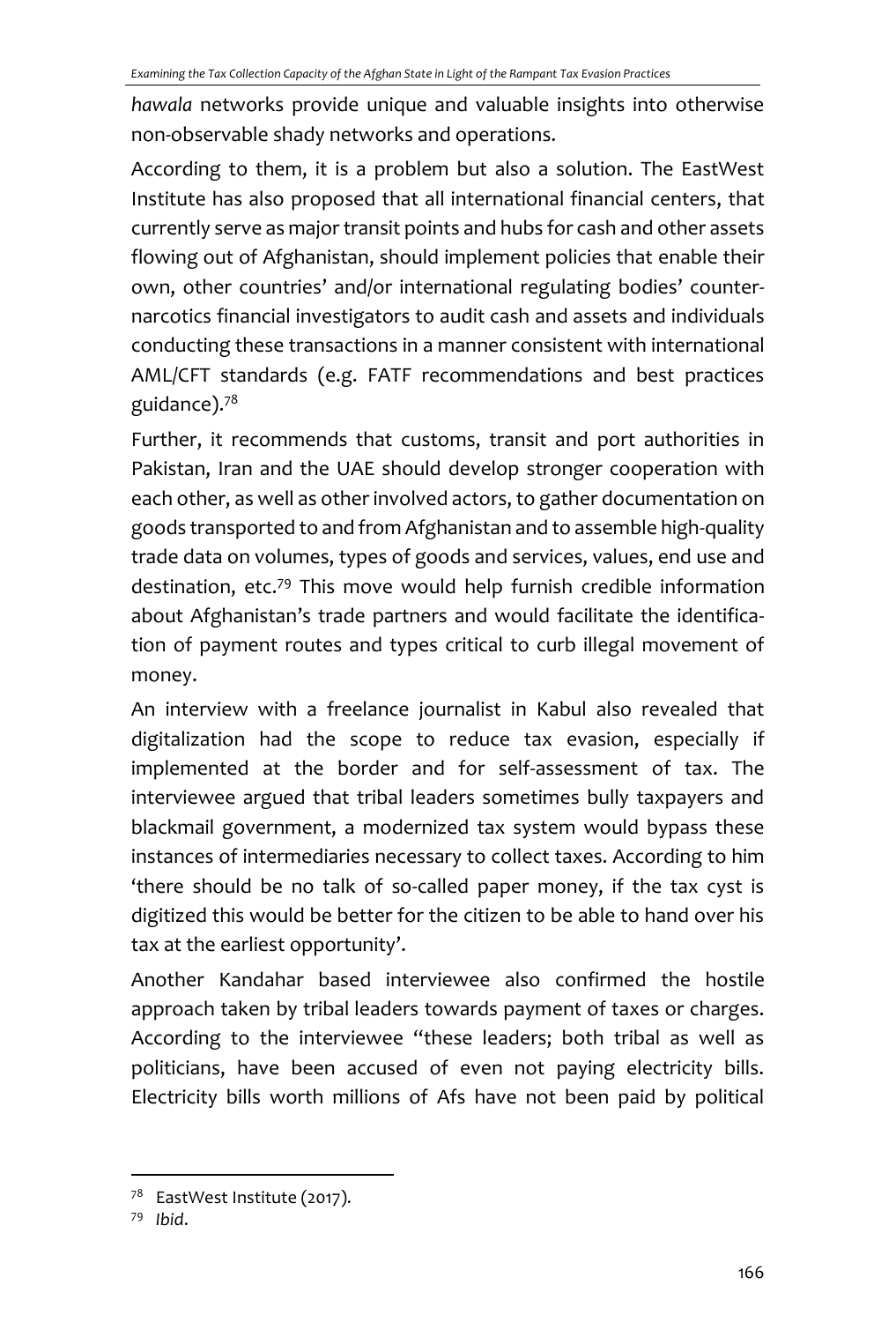*hawala* networks provide unique and valuable insights into otherwise non-observable shady networks and operations.

According to them, it is a problem but also a solution. The EastWest Institute has also proposed that all international financial centers, that currently serve as major transit points and hubs for cash and other assets flowing out of Afghanistan, should implement policies that enable their own, other countries' and/or international regulating bodies' counternarcotics financial investigators to audit cash and assets and individuals conducting these transactions in a manner consistent with international AML/CFT standards (e.g. FATF recommendations and best practices guidance).<sup>78</sup>

Further, it recommends that customs, transit and port authorities in Pakistan, Iran and the UAE should develop stronger cooperation with each other, as well as other involved actors, to gather documentation on goods transported to and from Afghanistan and to assemble high-quality trade data on volumes, types of goods and services, values, end use and destination, etc.<sup>79</sup> This move would help furnish credible information about Afghanistan's trade partners and would facilitate the identification of payment routes and types critical to curb illegal movement of money.

An interview with a freelance journalist in Kabul also revealed that digitalization had the scope to reduce tax evasion, especially if implemented at the border and for self-assessment of tax. The interviewee argued that tribal leaders sometimes bully taxpayers and blackmail government, a modernized tax system would bypass these instances of intermediaries necessary to collect taxes. According to him 'there should be no talk of so-called paper money, if the tax cyst is digitized this would be better for the citizen to be able to hand over his tax at the earliest opportunity'.

Another Kandahar based interviewee also confirmed the hostile approach taken by tribal leaders towards payment of taxes or charges. According to the interviewee "these leaders; both tribal as well as politicians, have been accused of even not paying electricity bills. Electricity bills worth millions of Afs have not been paid by political

<sup>79</sup> *Ibid*.

<sup>&</sup>lt;sup>78</sup> EastWest Institute (2017).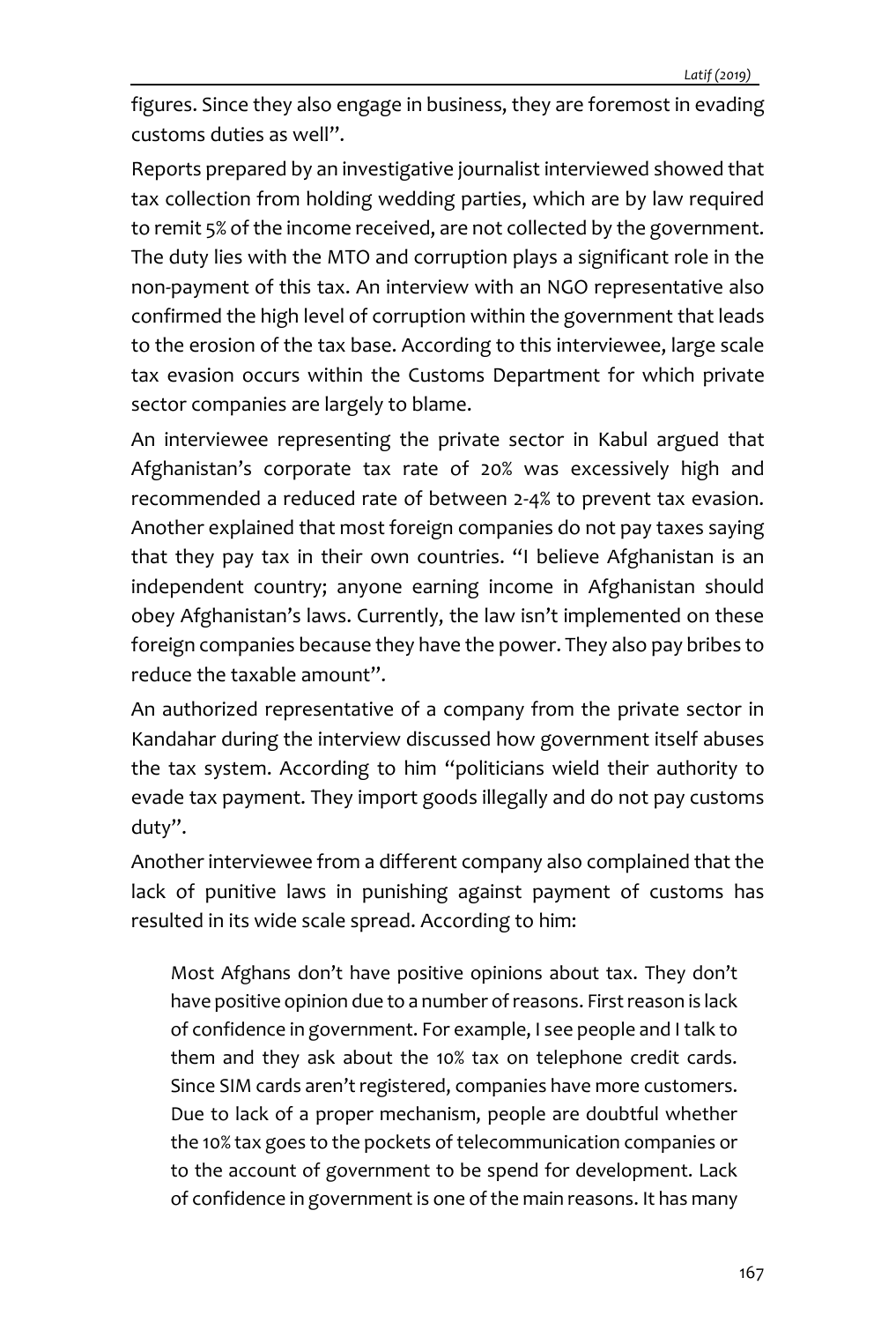figures. Since they also engage in business, they are foremost in evading customs duties as well".

Reports prepared by an investigative journalist interviewed showed that tax collection from holding wedding parties, which are by law required to remit 5% of the income received, are not collected by the government. The duty lies with the MTO and corruption plays a significant role in the non-payment of this tax. An interview with an NGO representative also confirmed the high level of corruption within the government that leads to the erosion of the tax base. According to this interviewee, large scale tax evasion occurs within the Customs Department for which private sector companies are largely to blame.

An interviewee representing the private sector in Kabul argued that Afghanistan's corporate tax rate of 20% was excessively high and recommended a reduced rate of between 2-4% to prevent tax evasion. Another explained that most foreign companies do not pay taxes saying that they pay tax in their own countries. "I believe Afghanistan is an independent country; anyone earning income in Afghanistan should obey Afghanistan's laws. Currently, the law isn't implemented on these foreign companies because they have the power. They also pay bribes to reduce the taxable amount".

An authorized representative of a company from the private sector in Kandahar during the interview discussed how government itself abuses the tax system. According to him "politicians wield their authority to evade tax payment. They import goods illegally and do not pay customs duty".

Another interviewee from a different company also complained that the lack of punitive laws in punishing against payment of customs has resulted in its wide scale spread. According to him:

Most Afghans don't have positive opinions about tax. They don't have positive opinion due to a number of reasons. First reason is lack of confidence in government. For example, I see people and I talk to them and they ask about the 10% tax on telephone credit cards. Since SIM cards aren't registered, companies have more customers. Due to lack of a proper mechanism, people are doubtful whether the 10% tax goes to the pockets of telecommunication companies or to the account of government to be spend for development. Lack of confidence in government is one of the main reasons. It has many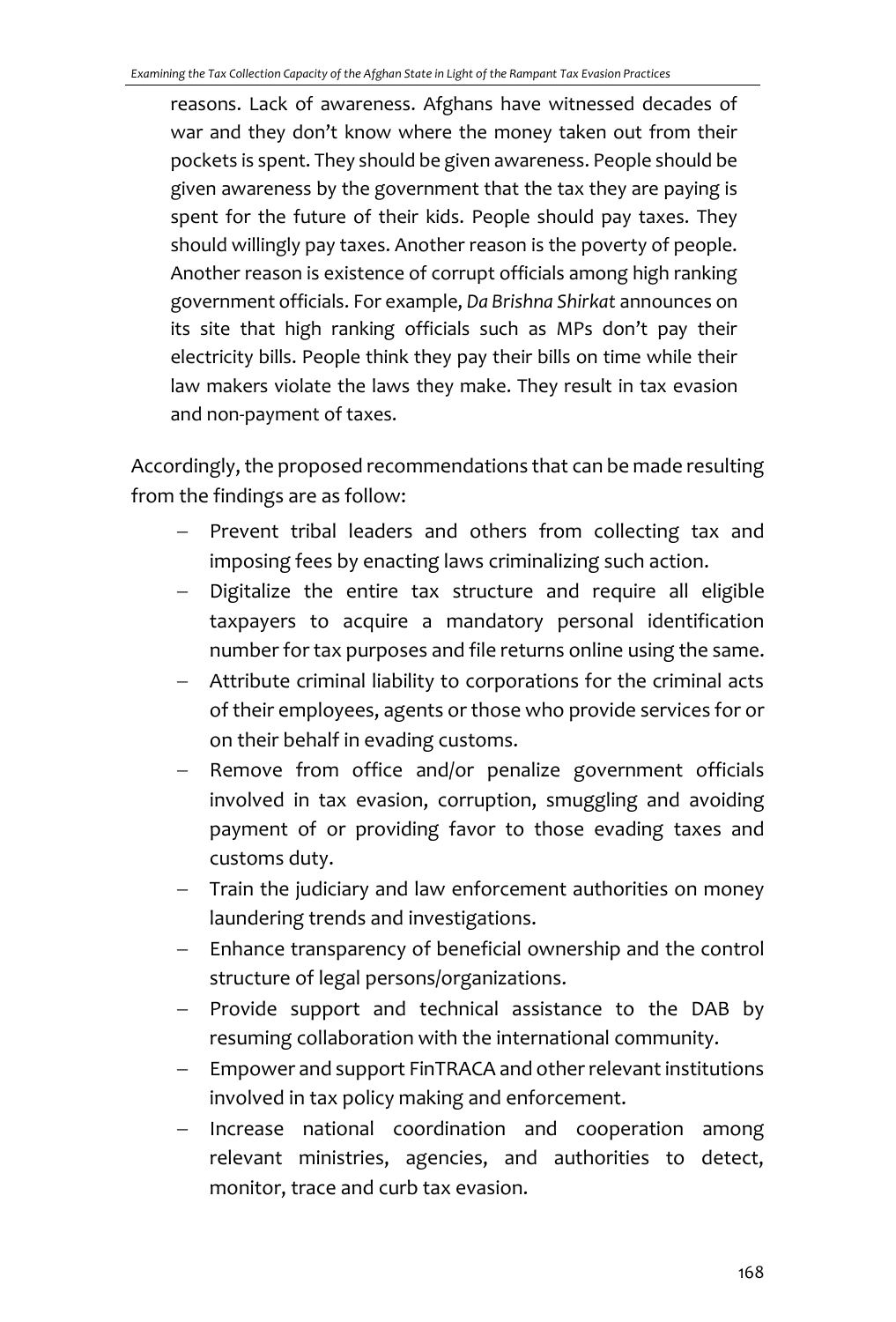reasons. Lack of awareness. Afghans have witnessed decades of war and they don't know where the money taken out from their pockets is spent. They should be given awareness. People should be given awareness by the government that the tax they are paying is spent for the future of their kids. People should pay taxes. They should willingly pay taxes. Another reason is the poverty of people. Another reason is existence of corrupt officials among high ranking government officials. For example, *Da Brishna Shirkat* announces on its site that high ranking officials such as MPs don't pay their electricity bills. People think they pay their bills on time while their law makers violate the laws they make. They result in tax evasion and non-payment of taxes.

Accordingly, the proposed recommendations that can be made resulting from the findings are as follow:

- − Prevent tribal leaders and others from collecting tax and imposing fees by enacting laws criminalizing such action.
- − Digitalize the entire tax structure and require all eligible taxpayers to acquire a mandatory personal identification number for tax purposes and file returns online using the same.
- − Attribute criminal liability to corporations for the criminal acts of their employees, agents or those who provide services for or on their behalf in evading customs.
- Remove from office and/or penalize government officials involved in tax evasion, corruption, smuggling and avoiding payment of or providing favor to those evading taxes and customs duty.
- − Train the judiciary and law enforcement authorities on money laundering trends and investigations.
- − Enhance transparency of beneficial ownership and the control structure of legal persons/organizations.
- − Provide support and technical assistance to the DAB by resuming collaboration with the international community.
- Empower and support FinTRACA and other relevant institutions involved in tax policy making and enforcement.
- − Increase national coordination and cooperation among relevant ministries, agencies, and authorities to detect, monitor, trace and curb tax evasion.